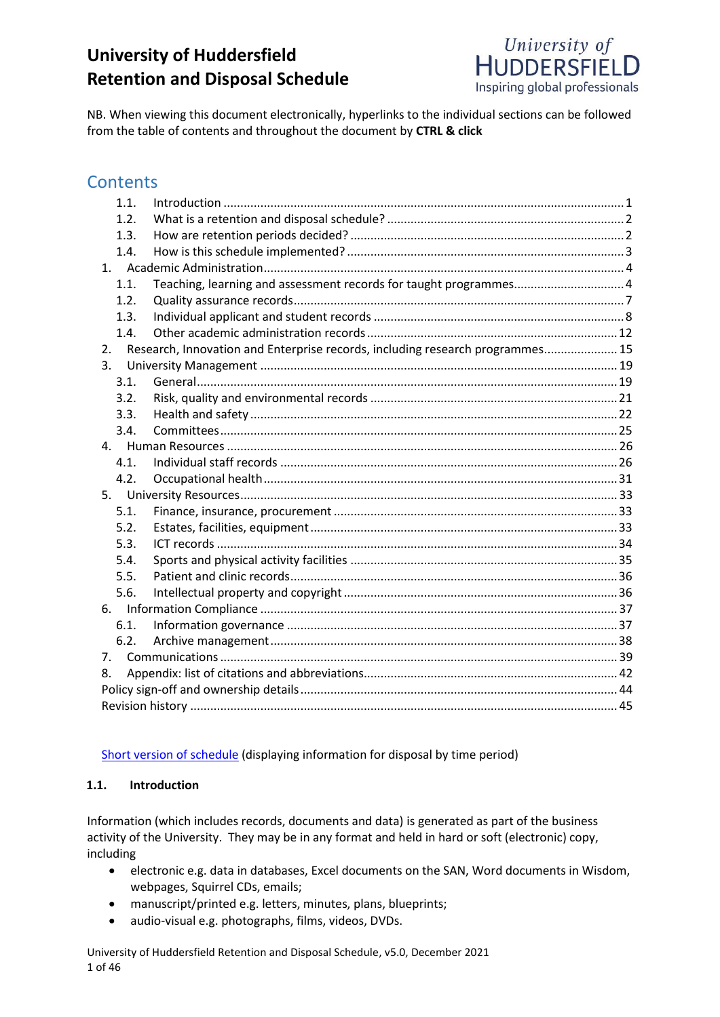# **University of Huddersfield Retention and Disposal Schedule**



NB. When viewing this document electronically, hyperlinks to the individual sections can be followed from the table of contents and throughout the document by **CTRL & click**

## **Contents**

| 1.1. |                                                                               |  |
|------|-------------------------------------------------------------------------------|--|
| 1.2. |                                                                               |  |
| 1.3. |                                                                               |  |
| 1.4. |                                                                               |  |
|      |                                                                               |  |
| 1.1. | Teaching, learning and assessment records for taught programmes4              |  |
| 1.2. |                                                                               |  |
| 1.3. |                                                                               |  |
| 1.4. |                                                                               |  |
| 2.   | Research, Innovation and Enterprise records, including research programmes 15 |  |
| 3.   |                                                                               |  |
| 3.1. |                                                                               |  |
| 3.2. |                                                                               |  |
| 3.3. |                                                                               |  |
| 3.4. |                                                                               |  |
|      |                                                                               |  |
| 4.1. |                                                                               |  |
| 4.2. |                                                                               |  |
|      |                                                                               |  |
| 5.1. |                                                                               |  |
| 5.2. |                                                                               |  |
| 5.3. |                                                                               |  |
| 5.4. |                                                                               |  |
| 5.5. |                                                                               |  |
| 5.6. |                                                                               |  |
|      |                                                                               |  |
| 6.1. |                                                                               |  |
| 6.2. |                                                                               |  |
| 7.   |                                                                               |  |
| 8.   |                                                                               |  |
|      |                                                                               |  |
|      |                                                                               |  |

[Short version of schedule](https://wisdom.hud.ac.uk/Wisdom/DocumentLauncher.aspx?a=4df4afd5-c53a-11de-a462-0050569c1f36) (displaying information for disposal by time period)

#### <span id="page-0-0"></span>**1.1. Introduction**

Information (which includes records, documents and data) is generated as part of the business activity of the University. They may be in any format and held in hard or soft (electronic) copy, including

- electronic e.g. data in databases, Excel documents on the SAN, Word documents in Wisdom, webpages, Squirrel CDs, emails;
- manuscript/printed e.g. letters, minutes, plans, blueprints;
- audio-visual e.g. photographs, films, videos, DVDs.

University of Huddersfield Retention and Disposal Schedule, v5.0, December 2021 1 of 46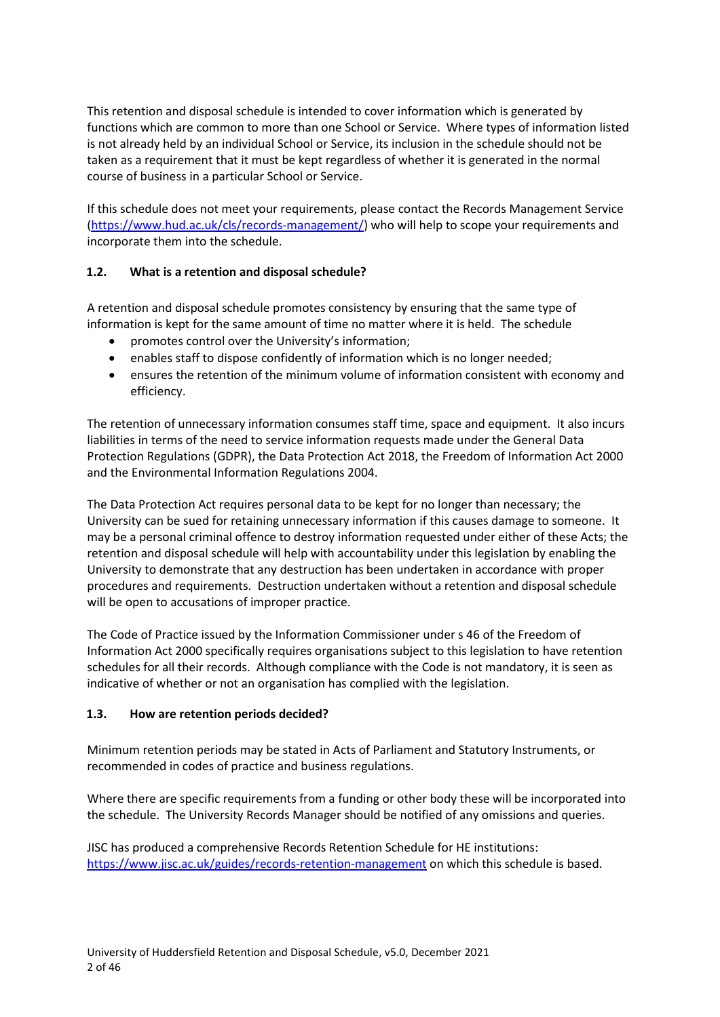This retention and disposal schedule is intended to cover information which is generated by functions which are common to more than one School or Service. Where types of information listed is not already held by an individual School or Service, its inclusion in the schedule should not be taken as a requirement that it must be kept regardless of whether it is generated in the normal course of business in a particular School or Service.

If this schedule does not meet your requirements, please contact the Records Management Service [\(https://www.hud.ac.uk/cls/records-management/\)](https://www.hud.ac.uk/cls/records-management/) who will help to scope your requirements and incorporate them into the schedule.

## <span id="page-1-0"></span>**1.2. What is a retention and disposal schedule?**

A retention and disposal schedule promotes consistency by ensuring that the same type of information is kept for the same amount of time no matter where it is held. The schedule

- promotes control over the University's information;
- enables staff to dispose confidently of information which is no longer needed;
- ensures the retention of the minimum volume of information consistent with economy and efficiency.

The retention of unnecessary information consumes staff time, space and equipment. It also incurs liabilities in terms of the need to service information requests made under the General Data Protection Regulations (GDPR), the Data Protection Act 2018, the Freedom of Information Act 2000 and the Environmental Information Regulations 2004.

The Data Protection Act requires personal data to be kept for no longer than necessary; the University can be sued for retaining unnecessary information if this causes damage to someone. It may be a personal criminal offence to destroy information requested under either of these Acts; the retention and disposal schedule will help with accountability under this legislation by enabling the University to demonstrate that any destruction has been undertaken in accordance with proper procedures and requirements. Destruction undertaken without a retention and disposal schedule will be open to accusations of improper practice.

The Code of Practice issued by the Information Commissioner under s 46 of the Freedom of Information Act 2000 specifically requires organisations subject to this legislation to have retention schedules for all their records. Although compliance with the Code is not mandatory, it is seen as indicative of whether or not an organisation has complied with the legislation.

#### <span id="page-1-1"></span>**1.3. How are retention periods decided?**

Minimum retention periods may be stated in Acts of Parliament and Statutory Instruments, or recommended in codes of practice and business regulations.

Where there are specific requirements from a funding or other body these will be incorporated into the schedule. The University Records Manager should be notified of any omissions and queries.

JISC has produced a comprehensive Records Retention Schedule for HE institutions: <https://www.jisc.ac.uk/guides/records-retention-management> on which this schedule is based.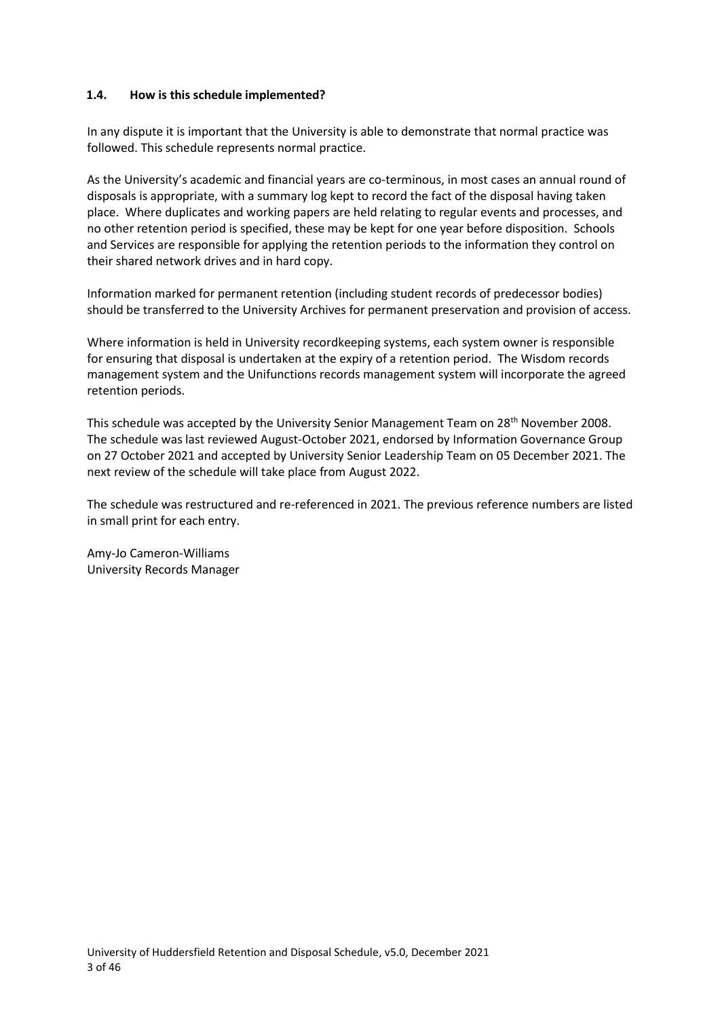#### <span id="page-2-0"></span>**1.4. How is this schedule implemented?**

In any dispute it is important that the University is able to demonstrate that normal practice was followed. This schedule represents normal practice.

As the University's academic and financial years are co-terminous, in most cases an annual round of disposals is appropriate, with a summary log kept to record the fact of the disposal having taken place. Where duplicates and working papers are held relating to regular events and processes, and no other retention period is specified, these may be kept for one year before disposition. Schools and Services are responsible for applying the retention periods to the information they control on their shared network drives and in hard copy.

Information marked for permanent retention (including student records of predecessor bodies) should be transferred to the University Archives for permanent preservation and provision of access.

Where information is held in University recordkeeping systems, each system owner is responsible for ensuring that disposal is undertaken at the expiry of a retention period. The Wisdom records management system and the Unifunctions records management system will incorporate the agreed retention periods.

This schedule was accepted by the University Senior Management Team on 28<sup>th</sup> November 2008. The schedule was last reviewed August-October 2021, endorsed by Information Governance Group on 27 October 2021 and accepted by University Senior Leadership Team on 05 December 2021. The next review of the schedule will take place from August 2022.

The schedule was restructured and re-referenced in 2021. The previous reference numbers are listed in small print for each entry.

Amy-Jo Cameron-Williams University Records Manager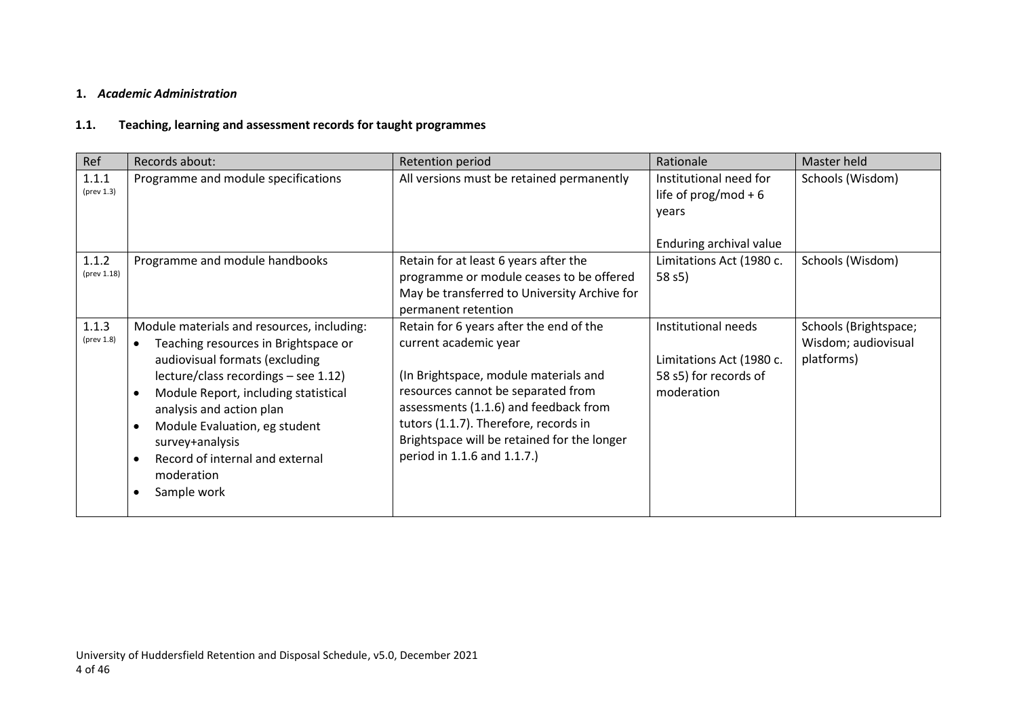## **1.** *Academic Administration*

## **1.1. Teaching, learning and assessment records for taught programmes**

<span id="page-3-1"></span><span id="page-3-0"></span>

| Ref                           | Records about:                                                                                                                                                                                                                                                                                                                                                                 | Retention period                                                                                                                                                                                                                                                                                                | Rationale                                                                              | Master held                                                |
|-------------------------------|--------------------------------------------------------------------------------------------------------------------------------------------------------------------------------------------------------------------------------------------------------------------------------------------------------------------------------------------------------------------------------|-----------------------------------------------------------------------------------------------------------------------------------------------------------------------------------------------------------------------------------------------------------------------------------------------------------------|----------------------------------------------------------------------------------------|------------------------------------------------------------|
| 1.1.1<br>$(\text{prev } 1.3)$ | Programme and module specifications                                                                                                                                                                                                                                                                                                                                            | All versions must be retained permanently                                                                                                                                                                                                                                                                       | Institutional need for<br>life of $prog/mol + 6$<br>years<br>Enduring archival value   | Schools (Wisdom)                                           |
| 1.1.2<br>(prev 1.18)          | Programme and module handbooks                                                                                                                                                                                                                                                                                                                                                 | Retain for at least 6 years after the<br>programme or module ceases to be offered<br>May be transferred to University Archive for<br>permanent retention                                                                                                                                                        | Limitations Act (1980 c.<br>58 s5)                                                     | Schools (Wisdom)                                           |
| 1.1.3<br>$(\text{prev } 1.8)$ | Module materials and resources, including:<br>Teaching resources in Brightspace or<br>$\bullet$<br>audiovisual formats (excluding<br>lecture/class recordings - see 1.12)<br>Module Report, including statistical<br>analysis and action plan<br>Module Evaluation, eg student<br>$\bullet$<br>survey+analysis<br>Record of internal and external<br>moderation<br>Sample work | Retain for 6 years after the end of the<br>current academic year<br>(In Brightspace, module materials and<br>resources cannot be separated from<br>assessments (1.1.6) and feedback from<br>tutors (1.1.7). Therefore, records in<br>Brightspace will be retained for the longer<br>period in 1.1.6 and 1.1.7.) | Institutional needs<br>Limitations Act (1980 c.<br>58 s5) for records of<br>moderation | Schools (Brightspace;<br>Wisdom; audiovisual<br>platforms) |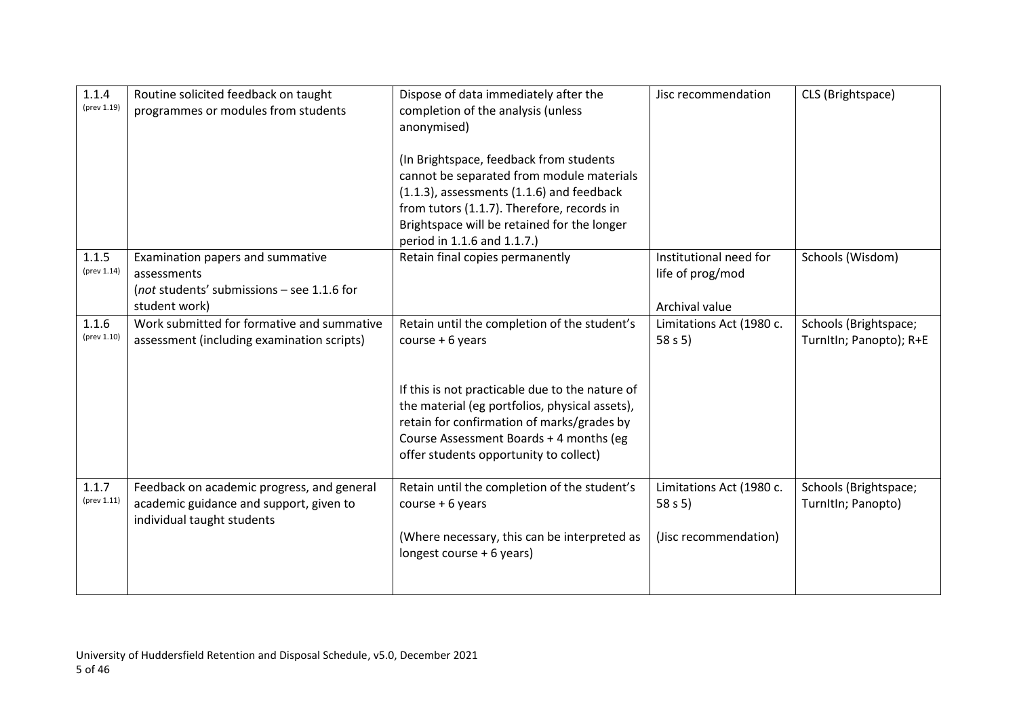| 1.1.4<br>(prev 1.19) | Routine solicited feedback on taught<br>programmes or modules from students                                         | Dispose of data immediately after the<br>completion of the analysis (unless<br>anonymised)<br>(In Brightspace, feedback from students<br>cannot be separated from module materials<br>(1.1.3), assessments (1.1.6) and feedback<br>from tutors (1.1.7). Therefore, records in<br>Brightspace will be retained for the longer<br>period in 1.1.6 and 1.1.7.) | Jisc recommendation                                            | CLS (Brightspace)                                |
|----------------------|---------------------------------------------------------------------------------------------------------------------|-------------------------------------------------------------------------------------------------------------------------------------------------------------------------------------------------------------------------------------------------------------------------------------------------------------------------------------------------------------|----------------------------------------------------------------|--------------------------------------------------|
| 1.1.5<br>(prev 1.14) | Examination papers and summative<br>assessments<br>(not students' submissions - see 1.1.6 for<br>student work)      | Retain final copies permanently                                                                                                                                                                                                                                                                                                                             | Institutional need for<br>life of prog/mod<br>Archival value   | Schools (Wisdom)                                 |
| 1.1.6<br>(prev 1.10) | Work submitted for formative and summative<br>assessment (including examination scripts)                            | Retain until the completion of the student's<br>$course + 6 years$<br>If this is not practicable due to the nature of<br>the material (eg portfolios, physical assets),<br>retain for confirmation of marks/grades by<br>Course Assessment Boards + 4 months (eg<br>offer students opportunity to collect)                                                  | Limitations Act (1980 c.<br>58 s 5                             | Schools (Brightspace;<br>TurnItIn; Panopto); R+E |
| 1.1.7<br>(prev 1.11) | Feedback on academic progress, and general<br>academic guidance and support, given to<br>individual taught students | Retain until the completion of the student's<br>course $+6$ years<br>(Where necessary, this can be interpreted as<br>longest course + 6 years)                                                                                                                                                                                                              | Limitations Act (1980 c.<br>58 s $5)$<br>(Jisc recommendation) | Schools (Brightspace;<br>TurnItIn; Panopto)      |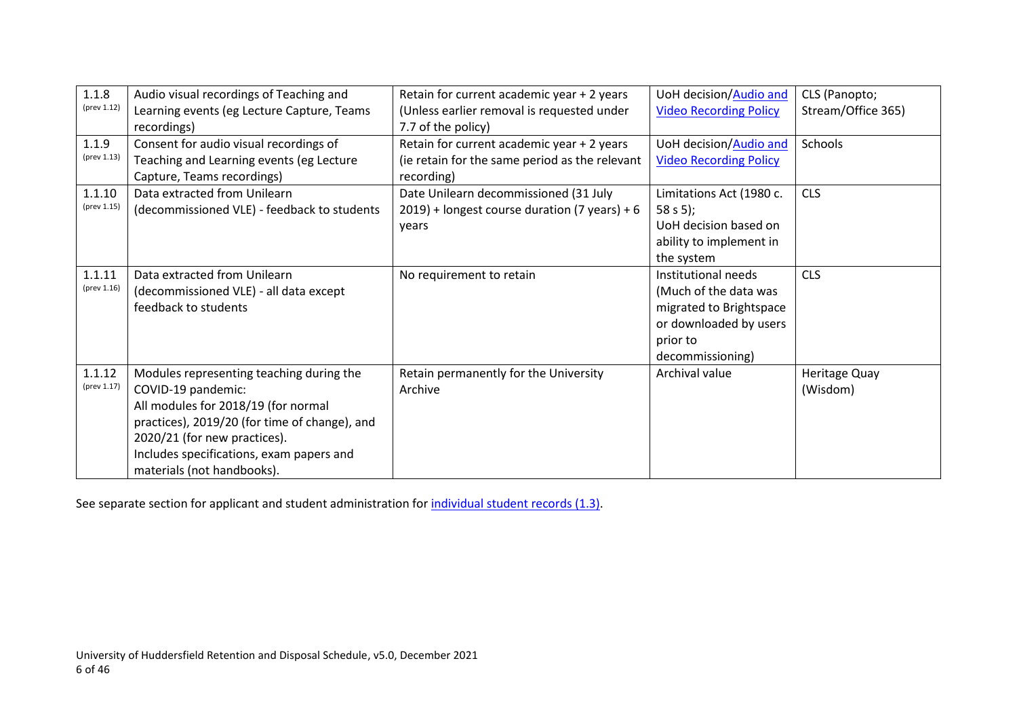| 1.1.8       | Audio visual recordings of Teaching and       | Retain for current academic year + 2 years       | UoH decision/Audio and        | CLS (Panopto;      |
|-------------|-----------------------------------------------|--------------------------------------------------|-------------------------------|--------------------|
| (prev 1.12) | Learning events (eg Lecture Capture, Teams    | (Unless earlier removal is requested under       | <b>Video Recording Policy</b> | Stream/Office 365) |
|             | recordings)                                   | 7.7 of the policy)                               |                               |                    |
| 1.1.9       | Consent for audio visual recordings of        | Retain for current academic year + 2 years       | UoH decision/Audio and        | Schools            |
| (prev 1.13) | Teaching and Learning events (eg Lecture      | (ie retain for the same period as the relevant   | <b>Video Recording Policy</b> |                    |
|             | Capture, Teams recordings)                    | recording)                                       |                               |                    |
| 1.1.10      | Data extracted from Unilearn                  | Date Unilearn decommissioned (31 July            | Limitations Act (1980 c.      | <b>CLS</b>         |
| (prev 1.15) | (decommissioned VLE) - feedback to students   | $2019$ ) + longest course duration (7 years) + 6 | 58 s 5);                      |                    |
|             |                                               | years                                            | UoH decision based on         |                    |
|             |                                               |                                                  | ability to implement in       |                    |
|             |                                               |                                                  | the system                    |                    |
| 1.1.11      | Data extracted from Unilearn                  | No requirement to retain                         | Institutional needs           | <b>CLS</b>         |
| (prev 1.16) | (decommissioned VLE) - all data except        |                                                  | (Much of the data was         |                    |
|             | feedback to students                          |                                                  | migrated to Brightspace       |                    |
|             |                                               |                                                  | or downloaded by users        |                    |
|             |                                               |                                                  | prior to                      |                    |
|             |                                               |                                                  | decommissioning)              |                    |
| 1.1.12      | Modules representing teaching during the      | Retain permanently for the University            | Archival value                | Heritage Quay      |
| (prev 1.17) | COVID-19 pandemic:                            | Archive                                          |                               | (Wisdom)           |
|             | All modules for 2018/19 (for normal           |                                                  |                               |                    |
|             | practices), 2019/20 (for time of change), and |                                                  |                               |                    |
|             | 2020/21 (for new practices).                  |                                                  |                               |                    |
|             | Includes specifications, exam papers and      |                                                  |                               |                    |
|             | materials (not handbooks).                    |                                                  |                               |                    |

See separate section for applicant and student administration for *individual student records* (1.3).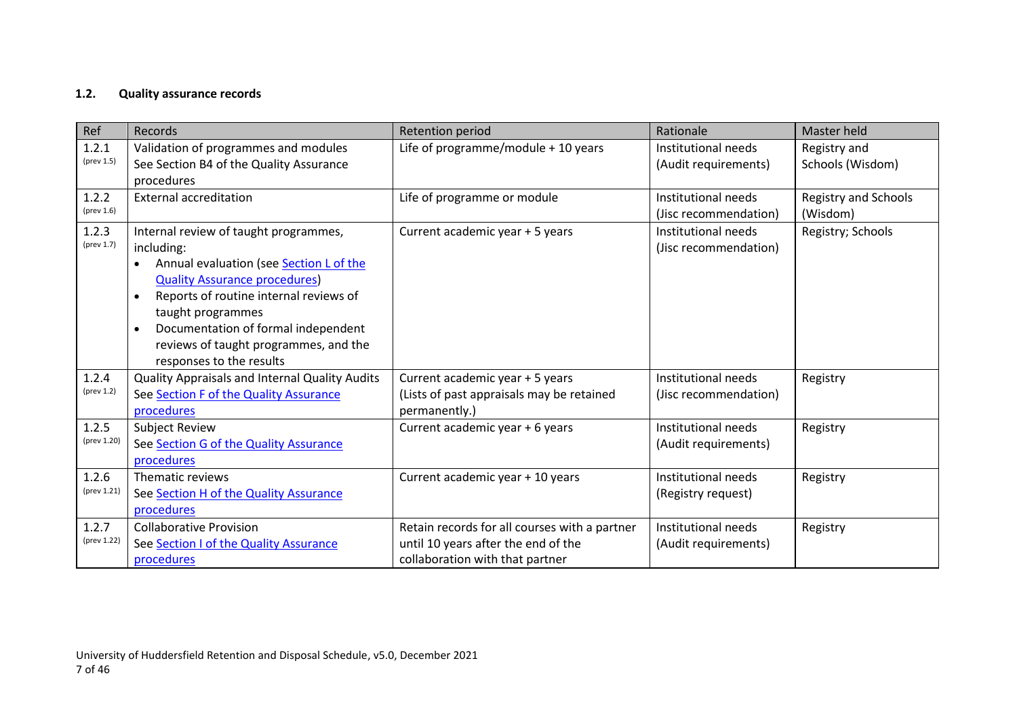## **1.2. Quality assurance records**

<span id="page-6-0"></span>

| Ref                           | Records                                                                                                                                                                                                                                                                                                                                     | Retention period                                                                                                        | Rationale                                    | Master held                      |
|-------------------------------|---------------------------------------------------------------------------------------------------------------------------------------------------------------------------------------------------------------------------------------------------------------------------------------------------------------------------------------------|-------------------------------------------------------------------------------------------------------------------------|----------------------------------------------|----------------------------------|
| 1.2.1<br>(prev 1.5)           | Validation of programmes and modules<br>See Section B4 of the Quality Assurance<br>procedures                                                                                                                                                                                                                                               | Life of programme/module + 10 years                                                                                     | Institutional needs<br>(Audit requirements)  | Registry and<br>Schools (Wisdom) |
| 1.2.2<br>$(\text{prev } 1.6)$ | <b>External accreditation</b>                                                                                                                                                                                                                                                                                                               | Life of programme or module                                                                                             | Institutional needs<br>(Jisc recommendation) | Registry and Schools<br>(Wisdom) |
| 1.2.3<br>(prev 1.7)           | Internal review of taught programmes,<br>including:<br>Annual evaluation (see Section L of the<br>$\bullet$<br><b>Quality Assurance procedures)</b><br>Reports of routine internal reviews of<br>$\bullet$<br>taught programmes<br>Documentation of formal independent<br>reviews of taught programmes, and the<br>responses to the results | Current academic year + 5 years                                                                                         | Institutional needs<br>(Jisc recommendation) | Registry; Schools                |
| 1.2.4<br>$(\text{prev } 1.2)$ | Quality Appraisals and Internal Quality Audits<br>See Section F of the Quality Assurance<br>procedures                                                                                                                                                                                                                                      | Current academic year + 5 years<br>(Lists of past appraisals may be retained<br>permanently.)                           | Institutional needs<br>(Jisc recommendation) | Registry                         |
| 1.2.5<br>(prev 1.20)          | <b>Subject Review</b><br>See Section G of the Quality Assurance<br>procedures                                                                                                                                                                                                                                                               | Current academic year + 6 years                                                                                         | Institutional needs<br>(Audit requirements)  | Registry                         |
| 1.2.6<br>(prev 1.21)          | Thematic reviews<br>See Section H of the Quality Assurance<br>procedures                                                                                                                                                                                                                                                                    | Current academic year + 10 years                                                                                        | Institutional needs<br>(Registry request)    | Registry                         |
| 1.2.7<br>(prev 1.22)          | <b>Collaborative Provision</b><br>See Section I of the Quality Assurance<br>procedures                                                                                                                                                                                                                                                      | Retain records for all courses with a partner<br>until 10 years after the end of the<br>collaboration with that partner | Institutional needs<br>(Audit requirements)  | Registry                         |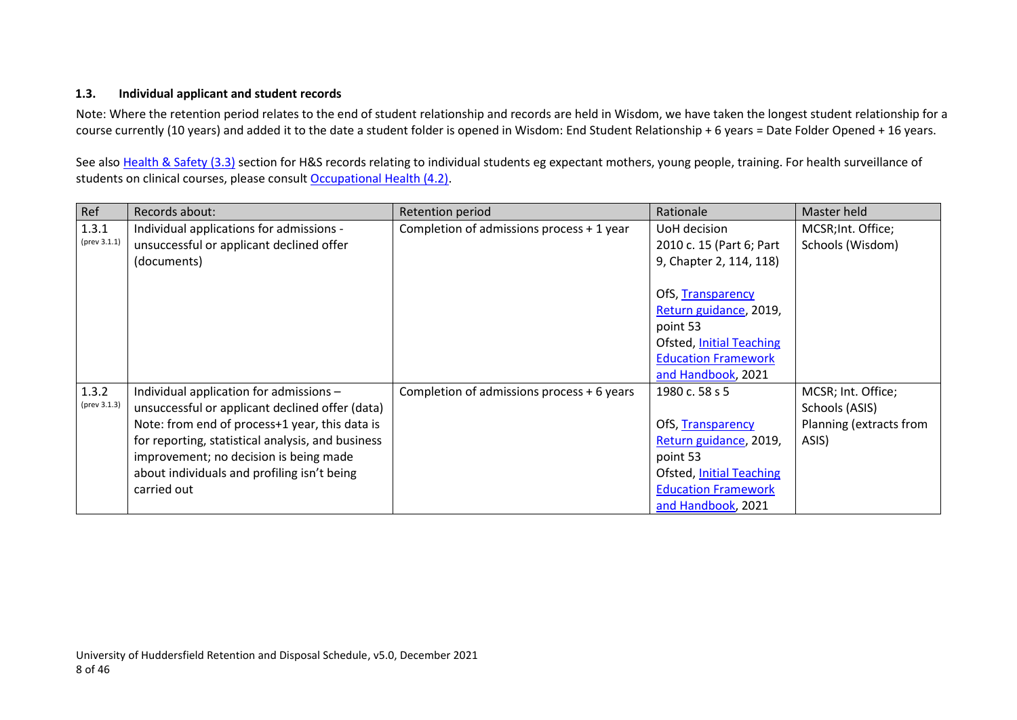#### <span id="page-7-1"></span>**1.3. Individual applicant and student records**

Note: Where the retention period relates to the end of student relationship and records are held in Wisdom, we have taken the longest student relationship for a course currently (10 years) and added it to the date a student folder is opened in Wisdom: End Student Relationship + 6 years = Date Folder Opened + 16 years.

See also Health & Safety (3.3) section for H&S records relating to individual students eg expectant mothers, young people, training. For health surveillance of students on clinical courses, please consult [Occupational Health \(4.2\).](#page-30-1)

<span id="page-7-0"></span>

| Ref          | Records about:                                    | Retention period                           | Rationale                       | Master held             |
|--------------|---------------------------------------------------|--------------------------------------------|---------------------------------|-------------------------|
| 1.3.1        | Individual applications for admissions -          | Completion of admissions process + 1 year  | UoH decision                    | MCSR; Int. Office;      |
| (prev 3.1.1) | unsuccessful or applicant declined offer          |                                            | 2010 c. 15 (Part 6; Part        | Schools (Wisdom)        |
|              | (documents)                                       |                                            | 9, Chapter 2, 114, 118)         |                         |
|              |                                                   |                                            |                                 |                         |
|              |                                                   |                                            | OfS, Transparency               |                         |
|              |                                                   |                                            | Return guidance, 2019,          |                         |
|              |                                                   |                                            | point 53                        |                         |
|              |                                                   |                                            | <b>Ofsted, Initial Teaching</b> |                         |
|              |                                                   |                                            | <b>Education Framework</b>      |                         |
|              |                                                   |                                            | and Handbook, 2021              |                         |
| 1.3.2        | Individual application for admissions -           | Completion of admissions process + 6 years | 1980 c. 58 s 5                  | MCSR; Int. Office;      |
| (prev 3.1.3) | unsuccessful or applicant declined offer (data)   |                                            |                                 | Schools (ASIS)          |
|              | Note: from end of process+1 year, this data is    |                                            | OfS, Transparency               | Planning (extracts from |
|              | for reporting, statistical analysis, and business |                                            | Return guidance, 2019,          | ASIS)                   |
|              | improvement; no decision is being made            |                                            | point 53                        |                         |
|              | about individuals and profiling isn't being       |                                            | <b>Ofsted, Initial Teaching</b> |                         |
|              | carried out                                       |                                            | <b>Education Framework</b>      |                         |
|              |                                                   |                                            | and Handbook, 2021              |                         |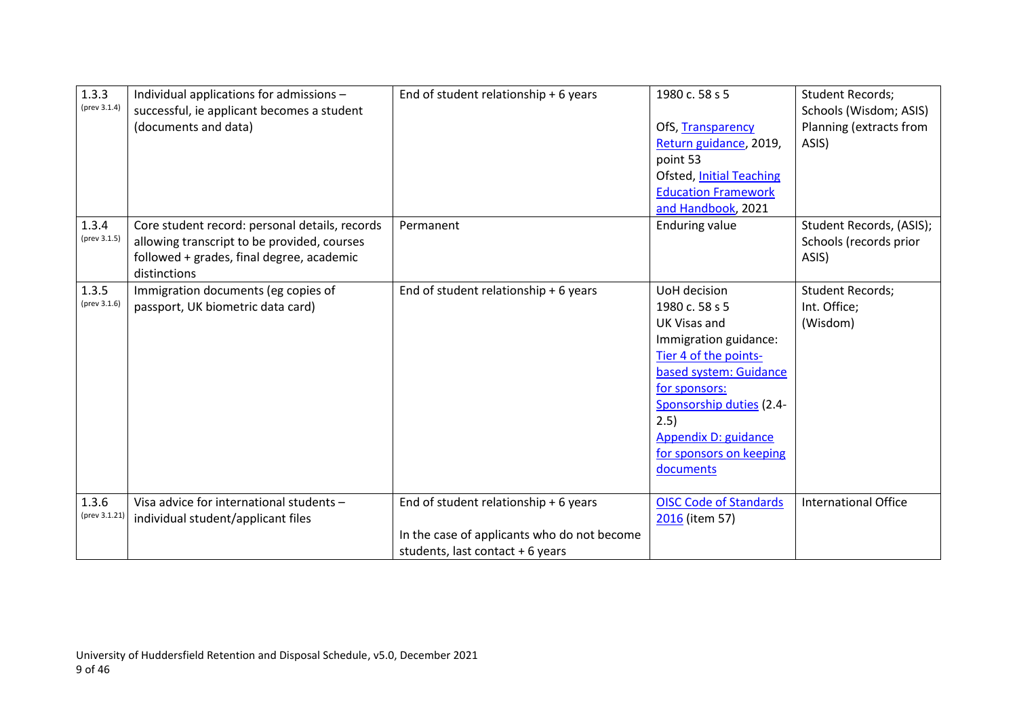| 1.3.3<br>(prev 3.1.4)  | Individual applications for admissions -<br>successful, ie applicant becomes a student<br>(documents and data)                                             | End of student relationship + 6 years                                                                                    | 1980 c. 58 s 5<br>OfS, Transparency<br>Return guidance, 2019,<br>point 53<br><b>Ofsted, Initial Teaching</b><br><b>Education Framework</b><br>and Handbook, 2021                                                                                       | <b>Student Records;</b><br>Schools (Wisdom; ASIS)<br>Planning (extracts from<br>ASIS) |
|------------------------|------------------------------------------------------------------------------------------------------------------------------------------------------------|--------------------------------------------------------------------------------------------------------------------------|--------------------------------------------------------------------------------------------------------------------------------------------------------------------------------------------------------------------------------------------------------|---------------------------------------------------------------------------------------|
| 1.3.4<br>(prev 3.1.5)  | Core student record: personal details, records<br>allowing transcript to be provided, courses<br>followed + grades, final degree, academic<br>distinctions | Permanent                                                                                                                | <b>Enduring value</b>                                                                                                                                                                                                                                  | Student Records, (ASIS);<br>Schools (records prior<br>ASIS)                           |
| 1.3.5<br>(prev 3.1.6)  | Immigration documents (eg copies of<br>passport, UK biometric data card)                                                                                   | End of student relationship + 6 years                                                                                    | UoH decision<br>1980 c. 58 s 5<br><b>UK Visas and</b><br>Immigration guidance:<br>Tier 4 of the points-<br>based system: Guidance<br>for sponsors:<br>Sponsorship duties (2.4-<br>2.5)<br>Appendix D: guidance<br>for sponsors on keeping<br>documents | <b>Student Records;</b><br>Int. Office;<br>(Wisdom)                                   |
| 1.3.6<br>(prev 3.1.21) | Visa advice for international students -<br>individual student/applicant files                                                                             | End of student relationship + 6 years<br>In the case of applicants who do not become<br>students, last contact + 6 years | <b>OISC Code of Standards</b><br>2016 (item 57)                                                                                                                                                                                                        | <b>International Office</b>                                                           |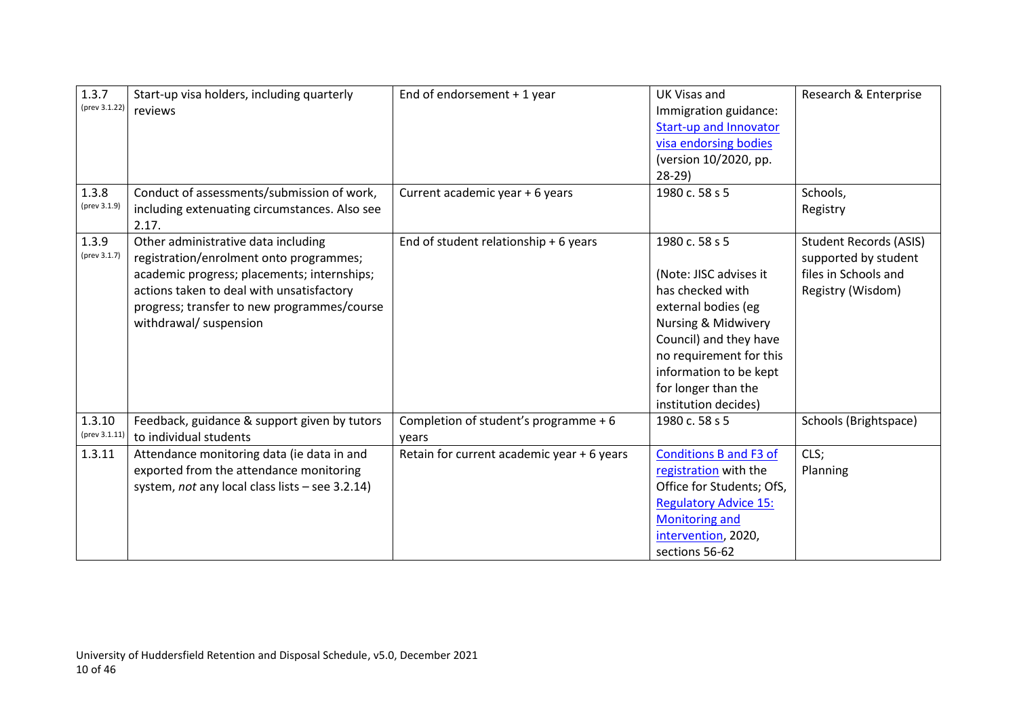| 1.3.7<br>(prev 3.1.22)  | Start-up visa holders, including quarterly<br>reviews                                                                                                                                                                                               | End of endorsement $+1$ year                   | <b>UK Visas and</b><br>Immigration guidance:<br><b>Start-up and Innovator</b><br>visa endorsing bodies<br>(version 10/2020, pp.<br>$28-29$                                                                                               | Research & Enterprise                                                                              |
|-------------------------|-----------------------------------------------------------------------------------------------------------------------------------------------------------------------------------------------------------------------------------------------------|------------------------------------------------|------------------------------------------------------------------------------------------------------------------------------------------------------------------------------------------------------------------------------------------|----------------------------------------------------------------------------------------------------|
| 1.3.8<br>(prev 3.1.9)   | Conduct of assessments/submission of work,<br>including extenuating circumstances. Also see<br>2.17.                                                                                                                                                | Current academic year + 6 years                | 1980 c. 58 s 5                                                                                                                                                                                                                           | Schools,<br>Registry                                                                               |
| 1.3.9<br>(prev 3.1.7)   | Other administrative data including<br>registration/enrolment onto programmes;<br>academic progress; placements; internships;<br>actions taken to deal with unsatisfactory<br>progress; transfer to new programmes/course<br>withdrawal/ suspension | End of student relationship + 6 years          | 1980 c. 58 s 5<br>(Note: JISC advises it<br>has checked with<br>external bodies (eg<br>Nursing & Midwivery<br>Council) and they have<br>no requirement for this<br>information to be kept<br>for longer than the<br>institution decides) | <b>Student Records (ASIS)</b><br>supported by student<br>files in Schools and<br>Registry (Wisdom) |
| 1.3.10<br>(prev 3.1.11) | Feedback, guidance & support given by tutors<br>to individual students                                                                                                                                                                              | Completion of student's programme + 6<br>years | 1980 c. 58 s 5                                                                                                                                                                                                                           | Schools (Brightspace)                                                                              |
| 1.3.11                  | Attendance monitoring data (ie data in and<br>exported from the attendance monitoring<br>system, not any local class lists - see 3.2.14)                                                                                                            | Retain for current academic year + 6 years     | <b>Conditions B and F3 of</b><br>registration with the<br>Office for Students; OfS,<br><b>Regulatory Advice 15:</b><br><b>Monitoring and</b><br>intervention, 2020,<br>sections 56-62                                                    | CLS;<br>Planning                                                                                   |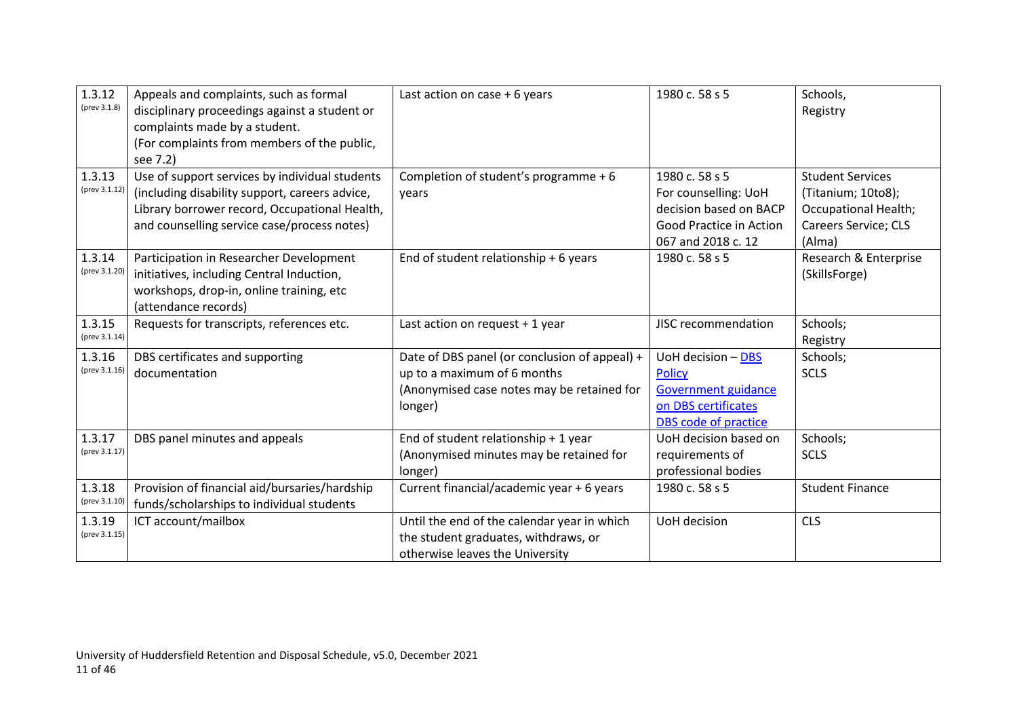| 1.3.12<br>(prev 3.1.8)  | Appeals and complaints, such as formal<br>disciplinary proceedings against a student or<br>complaints made by a student.<br>(For complaints from members of the public,<br>see 7.2)              | Last action on case $+6$ years                                                                                                        | 1980 c. 58 s 5                                                                                                    | Schools,<br>Registry                                                                                           |
|-------------------------|--------------------------------------------------------------------------------------------------------------------------------------------------------------------------------------------------|---------------------------------------------------------------------------------------------------------------------------------------|-------------------------------------------------------------------------------------------------------------------|----------------------------------------------------------------------------------------------------------------|
| 1.3.13<br>(prev 3.1.12) | Use of support services by individual students<br>(including disability support, careers advice,<br>Library borrower record, Occupational Health,<br>and counselling service case/process notes) | Completion of student's programme + 6<br>years                                                                                        | 1980 c. 58 s 5<br>For counselling: UoH<br>decision based on BACP<br>Good Practice in Action<br>067 and 2018 c. 12 | <b>Student Services</b><br>(Titanium; 10to8);<br><b>Occupational Health;</b><br>Careers Service; CLS<br>(Alma) |
| 1.3.14<br>(prev 3.1.20) | Participation in Researcher Development<br>initiatives, including Central Induction,<br>workshops, drop-in, online training, etc<br>(attendance records)                                         | End of student relationship + 6 years                                                                                                 | 1980 c. 58 s 5                                                                                                    | Research & Enterprise<br>(SkillsForge)                                                                         |
| 1.3.15<br>(prev 3.1.14) | Requests for transcripts, references etc.                                                                                                                                                        | Last action on request + 1 year                                                                                                       | JISC recommendation                                                                                               | Schools;<br>Registry                                                                                           |
| 1.3.16<br>(prev 3.1.16) | DBS certificates and supporting<br>documentation                                                                                                                                                 | Date of DBS panel (or conclusion of appeal) +<br>up to a maximum of 6 months<br>(Anonymised case notes may be retained for<br>longer) | UoH decision - DBS<br><b>Policy</b><br>Government guidance<br>on DBS certificates<br>DBS code of practice         | Schools;<br><b>SCLS</b>                                                                                        |
| 1.3.17<br>(prev 3.1.17) | DBS panel minutes and appeals                                                                                                                                                                    | End of student relationship + 1 year<br>(Anonymised minutes may be retained for<br>longer)                                            | UoH decision based on<br>requirements of<br>professional bodies                                                   | Schools;<br><b>SCLS</b>                                                                                        |
| 1.3.18<br>(prev 3.1.10) | Provision of financial aid/bursaries/hardship<br>funds/scholarships to individual students                                                                                                       | Current financial/academic year + 6 years                                                                                             | 1980 c. 58 s 5                                                                                                    | <b>Student Finance</b>                                                                                         |
| 1.3.19<br>(prev 3.1.15) | ICT account/mailbox                                                                                                                                                                              | Until the end of the calendar year in which<br>the student graduates, withdraws, or<br>otherwise leaves the University                | UoH decision                                                                                                      | <b>CLS</b>                                                                                                     |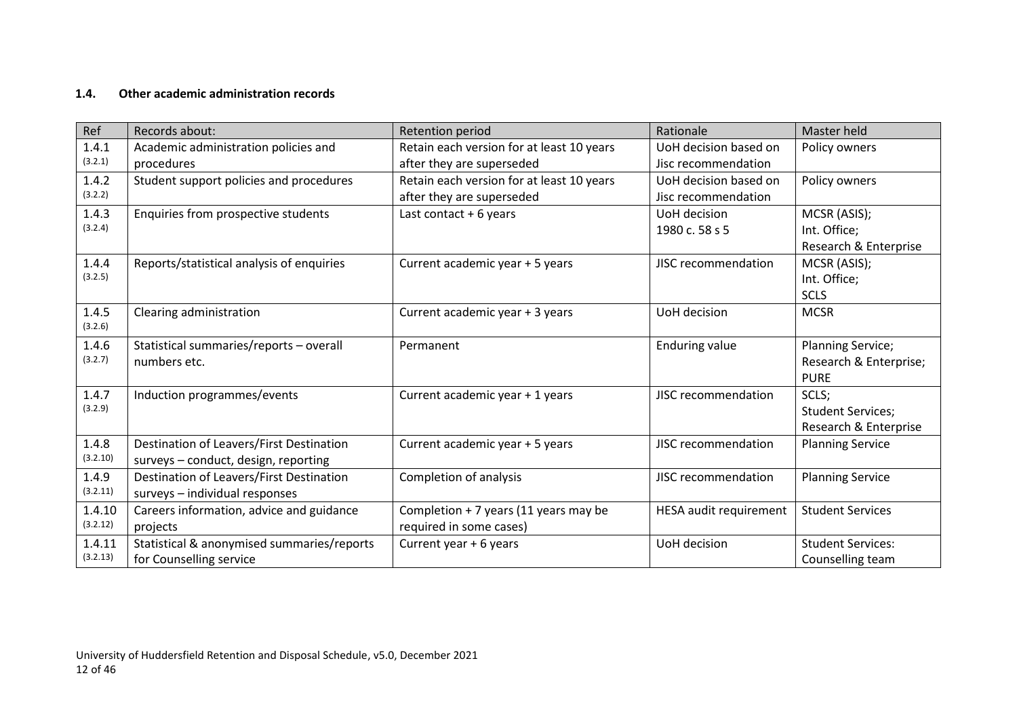## **1.4. Other academic administration records**

<span id="page-11-0"></span>

| Ref      | Records about:                             | Retention period                          | Rationale              | Master held              |
|----------|--------------------------------------------|-------------------------------------------|------------------------|--------------------------|
| 1.4.1    | Academic administration policies and       | Retain each version for at least 10 years | UoH decision based on  | Policy owners            |
| (3.2.1)  | procedures                                 | after they are superseded                 | Jisc recommendation    |                          |
| 1.4.2    | Student support policies and procedures    | Retain each version for at least 10 years | UoH decision based on  | Policy owners            |
| (3.2.2)  |                                            | after they are superseded                 | Jisc recommendation    |                          |
| 1.4.3    | Enquiries from prospective students        | Last contact $+6$ years                   | UoH decision           | MCSR (ASIS);             |
| (3.2.4)  |                                            |                                           | 1980 c. 58 s 5         | Int. Office;             |
|          |                                            |                                           |                        | Research & Enterprise    |
| 1.4.4    | Reports/statistical analysis of enquiries  | Current academic year + 5 years           | JISC recommendation    | MCSR (ASIS);             |
| (3.2.5)  |                                            |                                           |                        | Int. Office;             |
|          |                                            |                                           |                        | <b>SCLS</b>              |
| 1.4.5    | Clearing administration                    | Current academic year + 3 years           | UoH decision           | <b>MCSR</b>              |
| (3.2.6)  |                                            |                                           |                        |                          |
| 1.4.6    | Statistical summaries/reports - overall    | Permanent                                 | <b>Enduring value</b>  | <b>Planning Service;</b> |
| (3.2.7)  | numbers etc.                               |                                           |                        | Research & Enterprise;   |
|          |                                            |                                           |                        | <b>PURE</b>              |
| 1.4.7    | Induction programmes/events                | Current academic year + 1 years           | JISC recommendation    | SCLS;                    |
| (3.2.9)  |                                            |                                           |                        | <b>Student Services;</b> |
|          |                                            |                                           |                        | Research & Enterprise    |
| 1.4.8    | Destination of Leavers/First Destination   | Current academic year + 5 years           | JISC recommendation    | <b>Planning Service</b>  |
| (3.2.10) | surveys - conduct, design, reporting       |                                           |                        |                          |
| 1.4.9    | Destination of Leavers/First Destination   | Completion of analysis                    | JISC recommendation    | <b>Planning Service</b>  |
| (3.2.11) | surveys - individual responses             |                                           |                        |                          |
| 1.4.10   | Careers information, advice and guidance   | Completion + 7 years (11 years may be     | HESA audit requirement | <b>Student Services</b>  |
| (3.2.12) | projects                                   | required in some cases)                   |                        |                          |
| 1.4.11   | Statistical & anonymised summaries/reports | Current year + 6 years                    | UoH decision           | <b>Student Services:</b> |
| (3.2.13) | for Counselling service                    |                                           |                        | Counselling team         |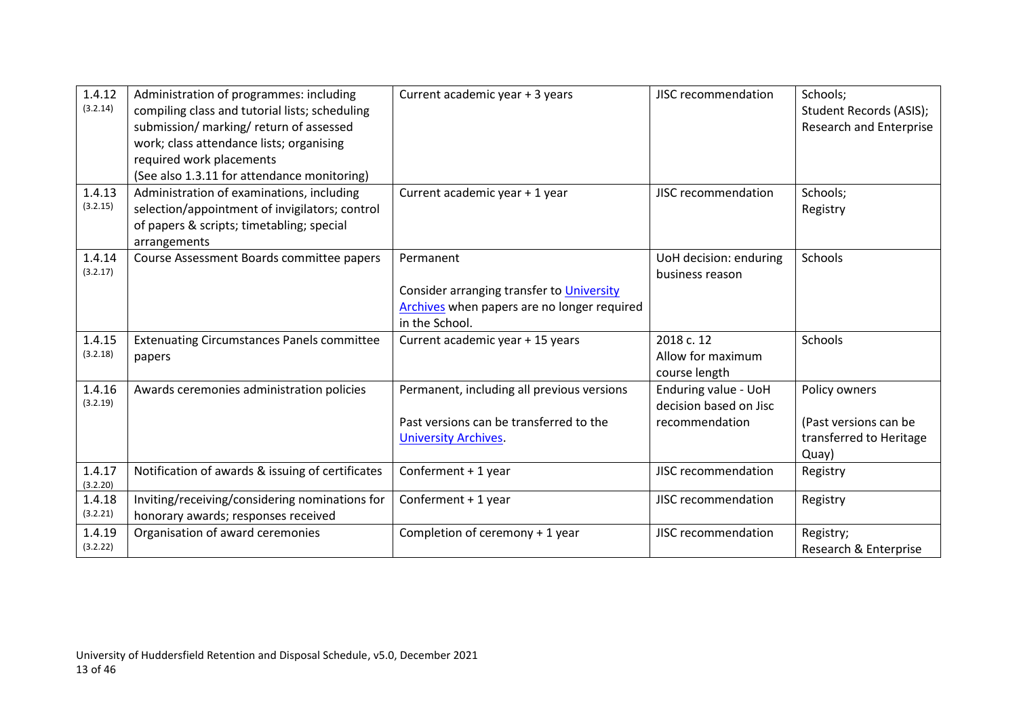| 1.4.12<br>(3.2.14) | Administration of programmes: including<br>compiling class and tutorial lists; scheduling<br>submission/ marking/ return of assessed<br>work; class attendance lists; organising<br>required work placements<br>(See also 1.3.11 for attendance monitoring) | Current academic year + 3 years                                                                                         | JISC recommendation                                              | Schools;<br>Student Records (ASIS);<br><b>Research and Enterprise</b>      |
|--------------------|-------------------------------------------------------------------------------------------------------------------------------------------------------------------------------------------------------------------------------------------------------------|-------------------------------------------------------------------------------------------------------------------------|------------------------------------------------------------------|----------------------------------------------------------------------------|
| 1.4.13<br>(3.2.15) | Administration of examinations, including<br>selection/appointment of invigilators; control<br>of papers & scripts; timetabling; special<br>arrangements                                                                                                    | Current academic year + 1 year                                                                                          | JISC recommendation                                              | Schools;<br>Registry                                                       |
| 1.4.14<br>(3.2.17) | Course Assessment Boards committee papers                                                                                                                                                                                                                   | Permanent<br>Consider arranging transfer to University<br>Archives when papers are no longer required<br>in the School. | UoH decision: enduring<br>business reason                        | Schools                                                                    |
| 1.4.15<br>(3.2.18) | <b>Extenuating Circumstances Panels committee</b><br>papers                                                                                                                                                                                                 | Current academic year + 15 years                                                                                        | 2018 c. 12<br>Allow for maximum<br>course length                 | <b>Schools</b>                                                             |
| 1.4.16<br>(3.2.19) | Awards ceremonies administration policies                                                                                                                                                                                                                   | Permanent, including all previous versions<br>Past versions can be transferred to the<br><b>University Archives.</b>    | Enduring value - UoH<br>decision based on Jisc<br>recommendation | Policy owners<br>(Past versions can be<br>transferred to Heritage<br>Quay) |
| 1.4.17<br>(3.2.20) | Notification of awards & issuing of certificates                                                                                                                                                                                                            | Conferment + 1 year                                                                                                     | JISC recommendation                                              | Registry                                                                   |
| 1.4.18<br>(3.2.21) | Inviting/receiving/considering nominations for<br>honorary awards; responses received                                                                                                                                                                       | Conferment + 1 year                                                                                                     | JISC recommendation                                              | Registry                                                                   |
| 1.4.19<br>(3.2.22) | Organisation of award ceremonies                                                                                                                                                                                                                            | Completion of ceremony + 1 year                                                                                         | <b>JISC recommendation</b>                                       | Registry;<br>Research & Enterprise                                         |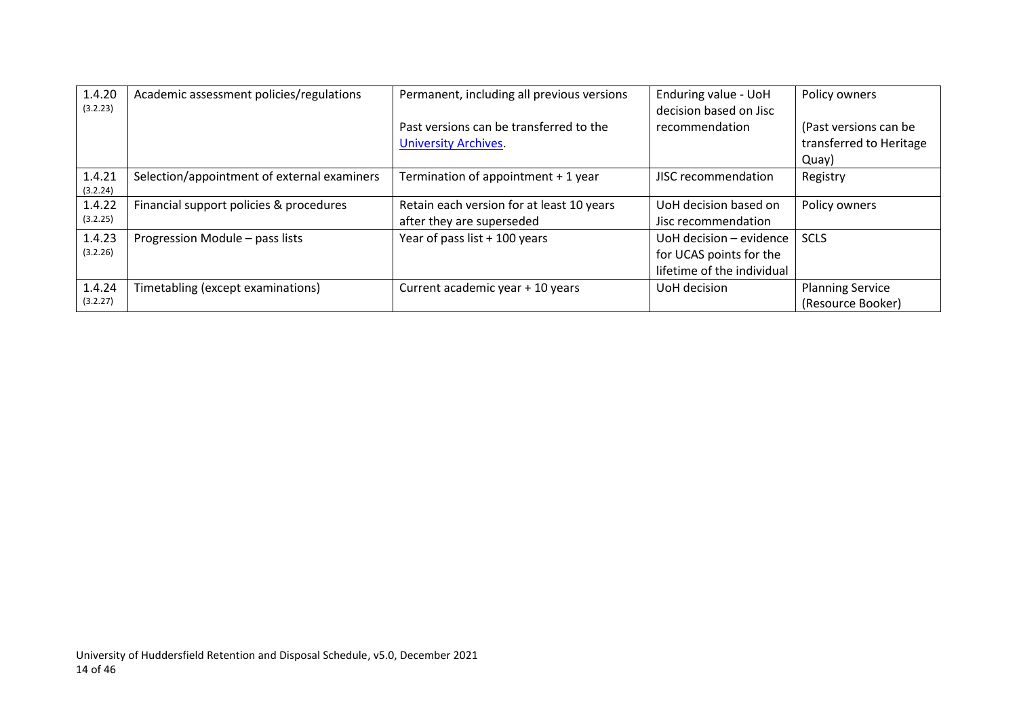| 1.4.20<br>(3.2.23) | Academic assessment policies/regulations    | Permanent, including all previous versions                             | Enduring value - UoH<br>decision based on Jisc                                   | Policy owners                                             |
|--------------------|---------------------------------------------|------------------------------------------------------------------------|----------------------------------------------------------------------------------|-----------------------------------------------------------|
|                    |                                             | Past versions can be transferred to the<br><b>University Archives.</b> | recommendation                                                                   | (Past versions can be<br>transferred to Heritage<br>Quay) |
| 1.4.21<br>(3.2.24) | Selection/appointment of external examiners | Termination of appointment + 1 year                                    | JISC recommendation                                                              | Registry                                                  |
| 1.4.22<br>(3.2.25) | Financial support policies & procedures     | Retain each version for at least 10 years<br>after they are superseded | UoH decision based on<br>Jisc recommendation                                     | Policy owners                                             |
| 1.4.23<br>(3.2.26) | Progression Module - pass lists             | Year of pass list + 100 years                                          | UoH decision - evidence<br>for UCAS points for the<br>lifetime of the individual | <b>SCLS</b>                                               |
| 1.4.24<br>(3.2.27) | Timetabling (except examinations)           | Current academic year + 10 years                                       | UoH decision                                                                     | <b>Planning Service</b><br>(Resource Booker)              |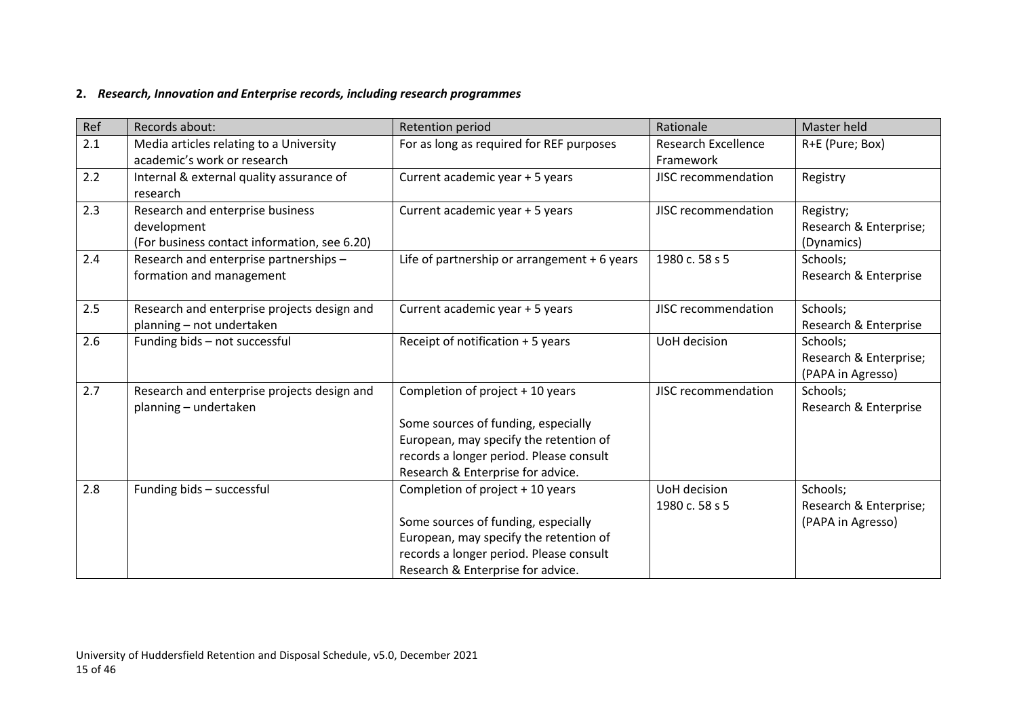## **2.** *Research, Innovation and Enterprise records, including research programmes*

<span id="page-14-0"></span>

| Ref | Records about:                               | Retention period                             | Rationale                  | Master held            |
|-----|----------------------------------------------|----------------------------------------------|----------------------------|------------------------|
| 2.1 | Media articles relating to a University      | For as long as required for REF purposes     | <b>Research Excellence</b> | R+E (Pure; Box)        |
|     | academic's work or research                  |                                              | Framework                  |                        |
| 2.2 | Internal & external quality assurance of     | Current academic year + 5 years              | JISC recommendation        | Registry               |
|     | research                                     |                                              |                            |                        |
| 2.3 | Research and enterprise business             | Current academic year + 5 years              | JISC recommendation        | Registry;              |
|     | development                                  |                                              |                            | Research & Enterprise; |
|     | (For business contact information, see 6.20) |                                              |                            | (Dynamics)             |
| 2.4 | Research and enterprise partnerships -       | Life of partnership or arrangement + 6 years | 1980 c. 58 s 5             | Schools;               |
|     | formation and management                     |                                              |                            | Research & Enterprise  |
|     |                                              |                                              |                            |                        |
| 2.5 | Research and enterprise projects design and  | Current academic year + 5 years              | JISC recommendation        | Schools;               |
|     | planning - not undertaken                    |                                              |                            | Research & Enterprise  |
| 2.6 | Funding bids - not successful                | Receipt of notification + 5 years            | UoH decision               | Schools;               |
|     |                                              |                                              |                            | Research & Enterprise; |
|     |                                              |                                              |                            | (PAPA in Agresso)      |
| 2.7 | Research and enterprise projects design and  | Completion of project + 10 years             | JISC recommendation        | Schools;               |
|     | planning - undertaken                        |                                              |                            | Research & Enterprise  |
|     |                                              | Some sources of funding, especially          |                            |                        |
|     |                                              | European, may specify the retention of       |                            |                        |
|     |                                              | records a longer period. Please consult      |                            |                        |
|     |                                              | Research & Enterprise for advice.            |                            |                        |
| 2.8 | Funding bids - successful                    | Completion of project + 10 years             | UoH decision               | Schools;               |
|     |                                              |                                              | 1980 c. 58 s 5             | Research & Enterprise; |
|     |                                              | Some sources of funding, especially          |                            | (PAPA in Agresso)      |
|     |                                              | European, may specify the retention of       |                            |                        |
|     |                                              | records a longer period. Please consult      |                            |                        |
|     |                                              | Research & Enterprise for advice.            |                            |                        |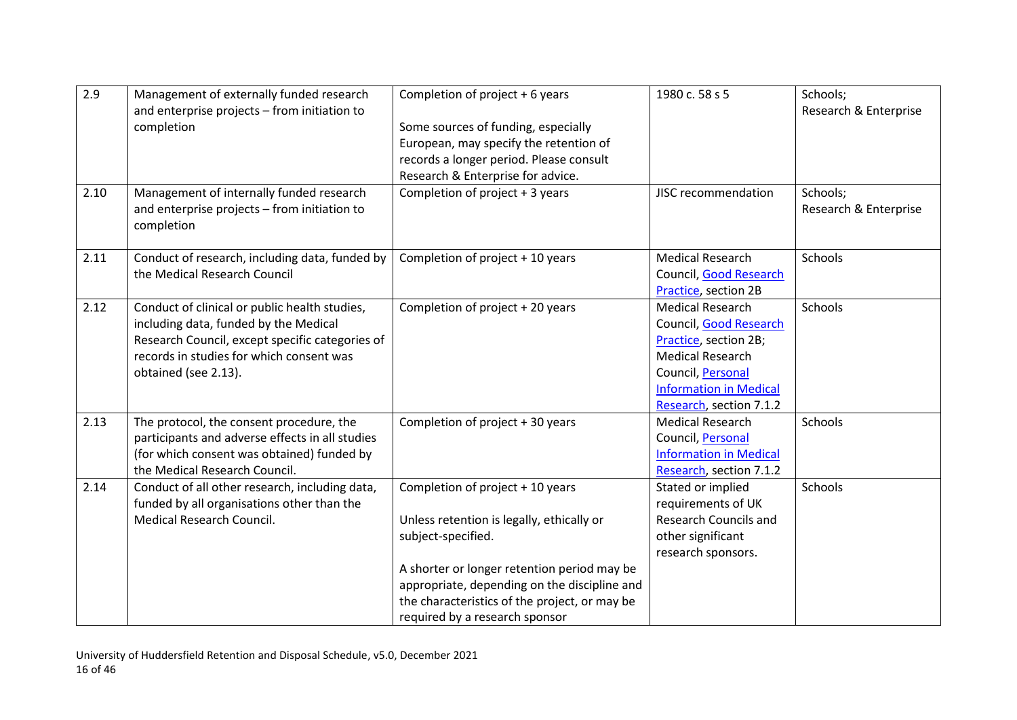| 2.9<br>2.10 | Management of externally funded research<br>and enterprise projects - from initiation to<br>completion<br>Management of internally funded research<br>and enterprise projects - from initiation to            | Completion of project + 6 years<br>Some sources of funding, especially<br>European, may specify the retention of<br>records a longer period. Please consult<br>Research & Enterprise for advice.<br>Completion of project + 3 years                                                   | 1980 c. 58 s 5<br>JISC recommendation                                                                                                                                                  | Schools;<br>Research & Enterprise<br>Schools;<br>Research & Enterprise |
|-------------|---------------------------------------------------------------------------------------------------------------------------------------------------------------------------------------------------------------|---------------------------------------------------------------------------------------------------------------------------------------------------------------------------------------------------------------------------------------------------------------------------------------|----------------------------------------------------------------------------------------------------------------------------------------------------------------------------------------|------------------------------------------------------------------------|
| 2.11        | completion<br>Conduct of research, including data, funded by<br>the Medical Research Council                                                                                                                  | Completion of project + 10 years                                                                                                                                                                                                                                                      | <b>Medical Research</b><br>Council, Good Research<br>Practice, section 2B                                                                                                              | Schools                                                                |
| 2.12        | Conduct of clinical or public health studies,<br>including data, funded by the Medical<br>Research Council, except specific categories of<br>records in studies for which consent was<br>obtained (see 2.13). | Completion of project + 20 years                                                                                                                                                                                                                                                      | <b>Medical Research</b><br>Council, Good Research<br>Practice, section 2B;<br><b>Medical Research</b><br>Council, Personal<br><b>Information in Medical</b><br>Research, section 7.1.2 | Schools                                                                |
| 2.13        | The protocol, the consent procedure, the<br>participants and adverse effects in all studies<br>(for which consent was obtained) funded by<br>the Medical Research Council.                                    | Completion of project + 30 years                                                                                                                                                                                                                                                      | <b>Medical Research</b><br>Council, Personal<br><b>Information in Medical</b><br>Research, section 7.1.2                                                                               | Schools                                                                |
| 2.14        | Conduct of all other research, including data,<br>funded by all organisations other than the<br>Medical Research Council.                                                                                     | Completion of project + 10 years<br>Unless retention is legally, ethically or<br>subject-specified.<br>A shorter or longer retention period may be<br>appropriate, depending on the discipline and<br>the characteristics of the project, or may be<br>required by a research sponsor | Stated or implied<br>requirements of UK<br><b>Research Councils and</b><br>other significant<br>research sponsors.                                                                     | Schools                                                                |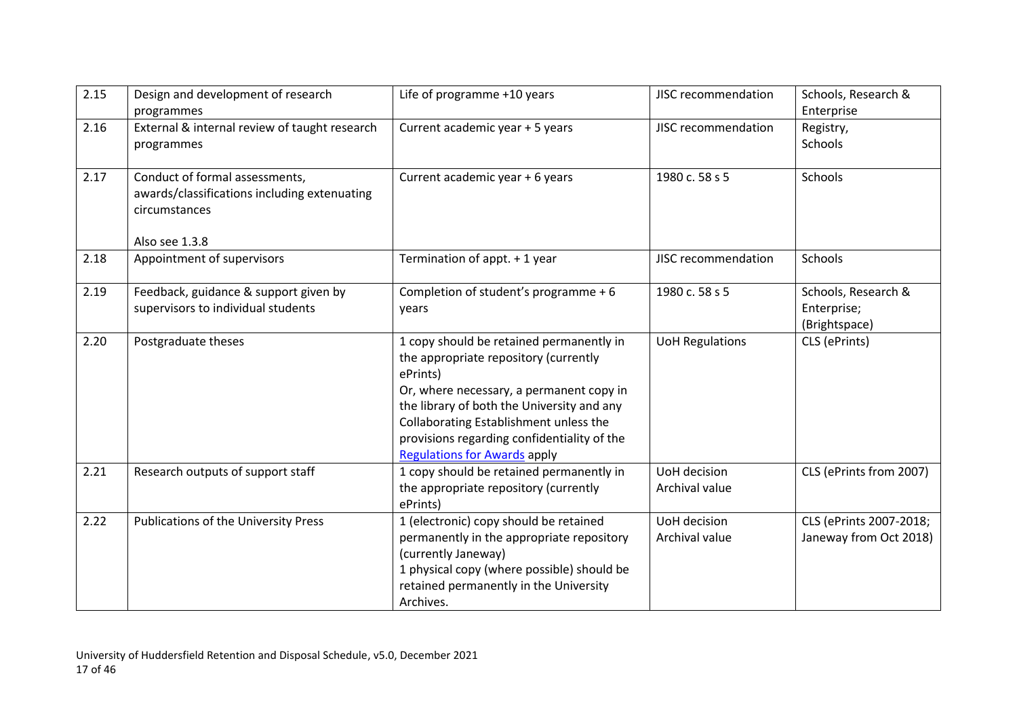| 2.15 | Design and development of research<br>programmes                                                                  | Life of programme +10 years                                                                                                                                                                                                                                                                                             | JISC recommendation            | Schools, Research &<br>Enterprise                   |
|------|-------------------------------------------------------------------------------------------------------------------|-------------------------------------------------------------------------------------------------------------------------------------------------------------------------------------------------------------------------------------------------------------------------------------------------------------------------|--------------------------------|-----------------------------------------------------|
| 2.16 | External & internal review of taught research<br>programmes                                                       | Current academic year + 5 years                                                                                                                                                                                                                                                                                         | JISC recommendation            | Registry,<br>Schools                                |
| 2.17 | Conduct of formal assessments,<br>awards/classifications including extenuating<br>circumstances<br>Also see 1.3.8 | Current academic year + 6 years                                                                                                                                                                                                                                                                                         | 1980 c. 58 s 5                 | Schools                                             |
| 2.18 | Appointment of supervisors                                                                                        | Termination of appt. + 1 year                                                                                                                                                                                                                                                                                           | <b>JISC recommendation</b>     | Schools                                             |
| 2.19 | Feedback, guidance & support given by<br>supervisors to individual students                                       | Completion of student's programme + 6<br>years                                                                                                                                                                                                                                                                          | 1980 c. 58 s 5                 | Schools, Research &<br>Enterprise;<br>(Brightspace) |
| 2.20 | Postgraduate theses                                                                                               | 1 copy should be retained permanently in<br>the appropriate repository (currently<br>ePrints)<br>Or, where necessary, a permanent copy in<br>the library of both the University and any<br>Collaborating Establishment unless the<br>provisions regarding confidentiality of the<br><b>Regulations for Awards apply</b> | <b>UoH Regulations</b>         | CLS (ePrints)                                       |
| 2.21 | Research outputs of support staff                                                                                 | 1 copy should be retained permanently in<br>the appropriate repository (currently<br>ePrints)                                                                                                                                                                                                                           | UoH decision<br>Archival value | CLS (ePrints from 2007)                             |
| 2.22 | <b>Publications of the University Press</b>                                                                       | 1 (electronic) copy should be retained<br>permanently in the appropriate repository<br>(currently Janeway)<br>1 physical copy (where possible) should be<br>retained permanently in the University<br>Archives.                                                                                                         | UoH decision<br>Archival value | CLS (ePrints 2007-2018;<br>Janeway from Oct 2018)   |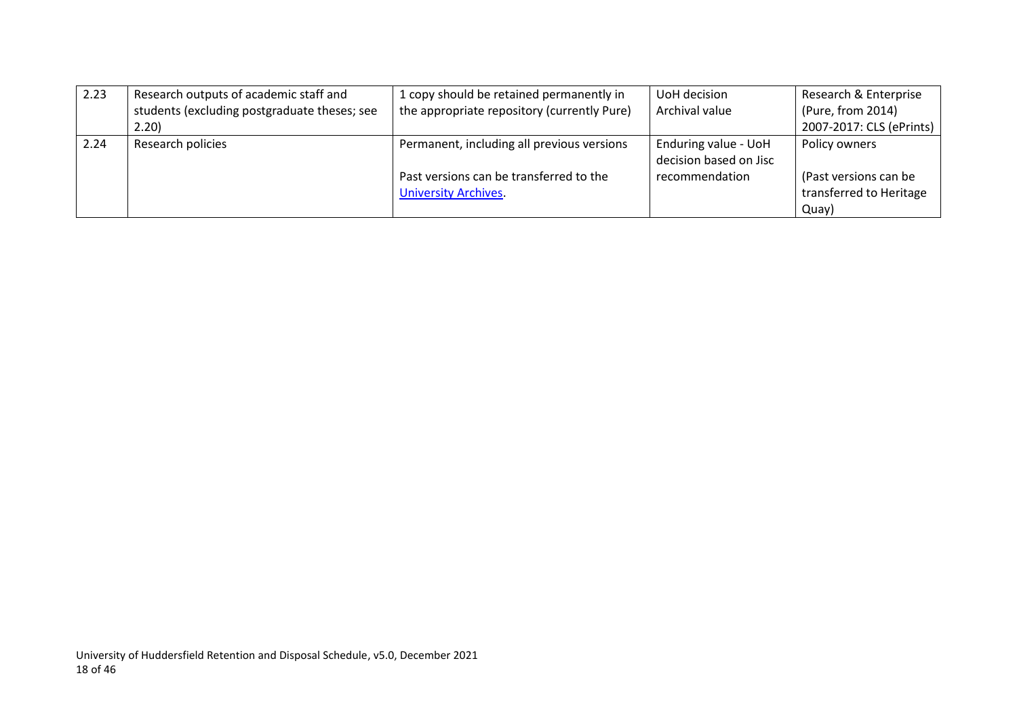| 2.23 | Research outputs of academic staff and       | 1 copy should be retained permanently in    | UoH decision           | Research & Enterprise    |
|------|----------------------------------------------|---------------------------------------------|------------------------|--------------------------|
|      | students (excluding postgraduate theses; see | the appropriate repository (currently Pure) | Archival value         | (Pure, from 2014)        |
|      | 2.20                                         |                                             |                        | 2007-2017: CLS (ePrints) |
| 2.24 | Research policies                            | Permanent, including all previous versions  | Enduring value - UoH   | Policy owners            |
|      |                                              |                                             | decision based on Jisc |                          |
|      |                                              | Past versions can be transferred to the     | recommendation         | (Past versions can be    |
|      |                                              | <b>University Archives.</b>                 |                        | transferred to Heritage  |
|      |                                              |                                             |                        | Quay)                    |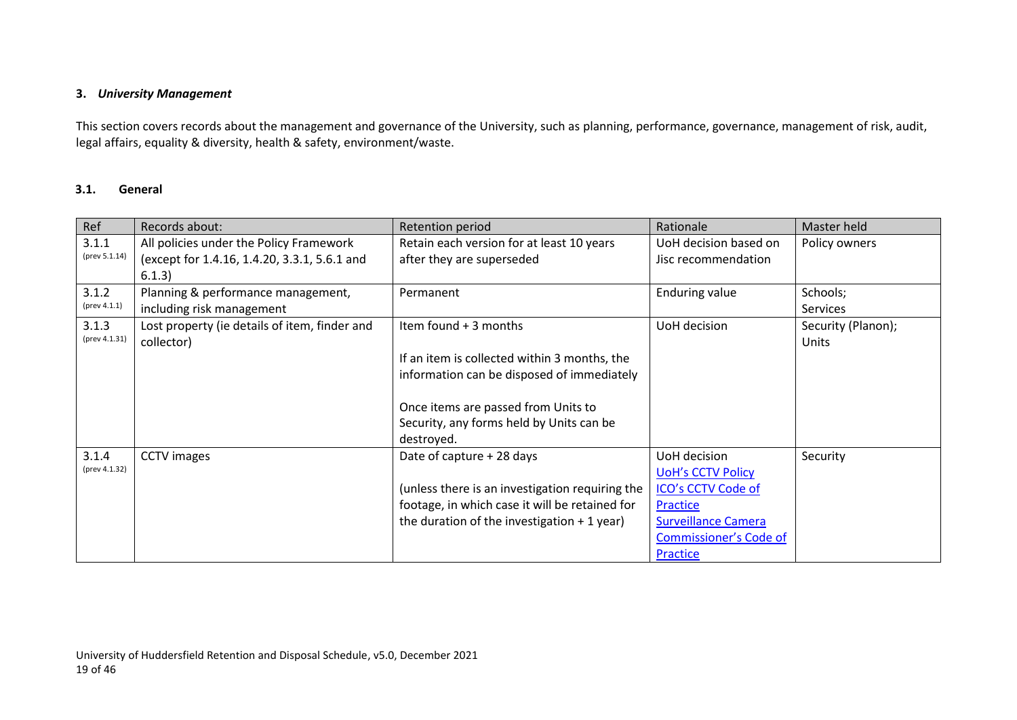#### **3.** *University Management*

This section covers records about the management and governance of the University, such as planning, performance, governance, management of risk, audit, legal affairs, equality & diversity, health & safety, environment/waste.

#### **3.1. General**

<span id="page-18-1"></span><span id="page-18-0"></span>

| Ref           | Records about:                                | Retention period                                | Rationale                     | Master held        |
|---------------|-----------------------------------------------|-------------------------------------------------|-------------------------------|--------------------|
| 3.1.1         | All policies under the Policy Framework       | Retain each version for at least 10 years       | UoH decision based on         | Policy owners      |
| (prev 5.1.14) | (except for 1.4.16, 1.4.20, 3.3.1, 5.6.1 and  | after they are superseded                       | Jisc recommendation           |                    |
|               | 6.1.3)                                        |                                                 |                               |                    |
| 3.1.2         | Planning & performance management,            | Permanent                                       | <b>Enduring value</b>         | Schools;           |
| (prev 4.1.1)  | including risk management                     |                                                 |                               | <b>Services</b>    |
| 3.1.3         | Lost property (ie details of item, finder and | Item found + 3 months                           | UoH decision                  | Security (Planon); |
| (prev 4.1.31) | collector)                                    |                                                 |                               | Units              |
|               |                                               | If an item is collected within 3 months, the    |                               |                    |
|               |                                               | information can be disposed of immediately      |                               |                    |
|               |                                               |                                                 |                               |                    |
|               |                                               | Once items are passed from Units to             |                               |                    |
|               |                                               | Security, any forms held by Units can be        |                               |                    |
|               |                                               | destroyed.                                      |                               |                    |
| 3.1.4         | <b>CCTV</b> images                            | Date of capture + 28 days                       | UoH decision                  | Security           |
| (prev 4.1.32) |                                               |                                                 | <b>UoH's CCTV Policy</b>      |                    |
|               |                                               | (unless there is an investigation requiring the | ICO's CCTV Code of            |                    |
|               |                                               | footage, in which case it will be retained for  | Practice                      |                    |
|               |                                               | the duration of the investigation $+1$ year)    | <b>Surveillance Camera</b>    |                    |
|               |                                               |                                                 | <b>Commissioner's Code of</b> |                    |
|               |                                               |                                                 | Practice                      |                    |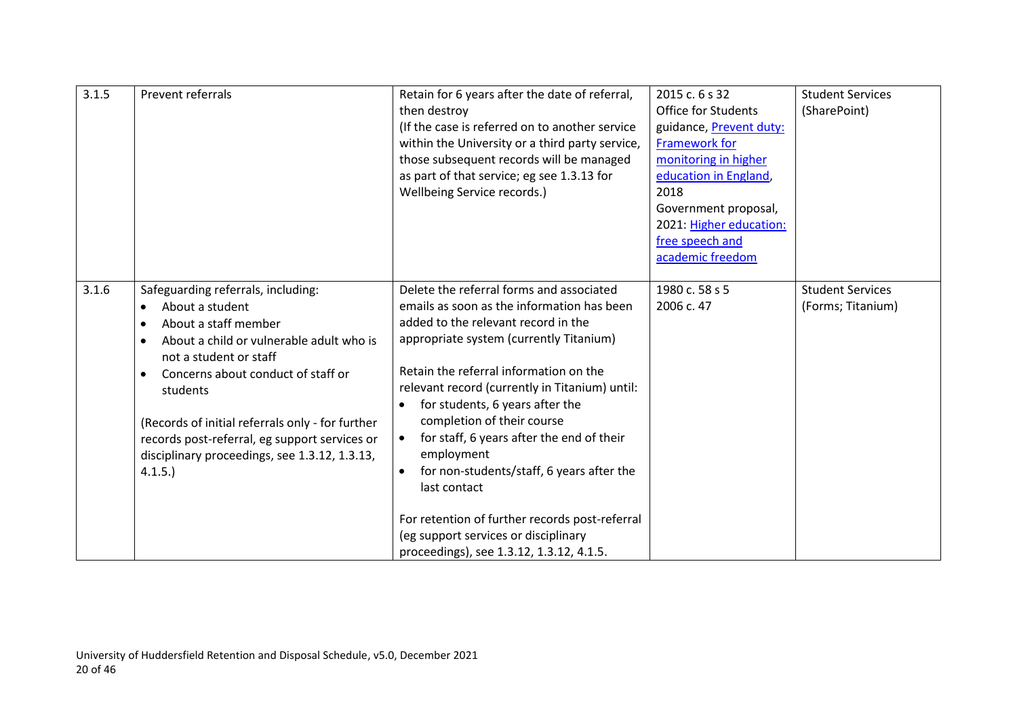| 3.1.5 | Prevent referrals                                                                                                                                                                                                                                                                                                                                                                                            | Retain for 6 years after the date of referral,<br>then destroy<br>(If the case is referred on to another service<br>within the University or a third party service,<br>those subsequent records will be managed<br>as part of that service; eg see 1.3.13 for<br>Wellbeing Service records.)                                                                                                                                                                                                                                                                                                                                       | 2015 c. 6 s 32<br><b>Office for Students</b><br>guidance, Prevent duty:<br><b>Framework for</b><br>monitoring in higher<br>education in England,<br>2018<br>Government proposal,<br>2021: Higher education:<br>free speech and<br>academic freedom | <b>Student Services</b><br>(SharePoint)      |
|-------|--------------------------------------------------------------------------------------------------------------------------------------------------------------------------------------------------------------------------------------------------------------------------------------------------------------------------------------------------------------------------------------------------------------|------------------------------------------------------------------------------------------------------------------------------------------------------------------------------------------------------------------------------------------------------------------------------------------------------------------------------------------------------------------------------------------------------------------------------------------------------------------------------------------------------------------------------------------------------------------------------------------------------------------------------------|----------------------------------------------------------------------------------------------------------------------------------------------------------------------------------------------------------------------------------------------------|----------------------------------------------|
| 3.1.6 | Safeguarding referrals, including:<br>About a student<br>About a staff member<br>$\bullet$<br>About a child or vulnerable adult who is<br>$\bullet$<br>not a student or staff<br>Concerns about conduct of staff or<br>$\bullet$<br>students<br>(Records of initial referrals only - for further<br>records post-referral, eg support services or<br>disciplinary proceedings, see 1.3.12, 1.3.13,<br>4.1.5. | Delete the referral forms and associated<br>emails as soon as the information has been<br>added to the relevant record in the<br>appropriate system (currently Titanium)<br>Retain the referral information on the<br>relevant record (currently in Titanium) until:<br>for students, 6 years after the<br>٠<br>completion of their course<br>for staff, 6 years after the end of their<br>$\bullet$<br>employment<br>for non-students/staff, 6 years after the<br>$\bullet$<br>last contact<br>For retention of further records post-referral<br>(eg support services or disciplinary<br>proceedings), see 1.3.12, 1.3.12, 4.1.5. | 1980 c. 58 s 5<br>2006 c. 47                                                                                                                                                                                                                       | <b>Student Services</b><br>(Forms; Titanium) |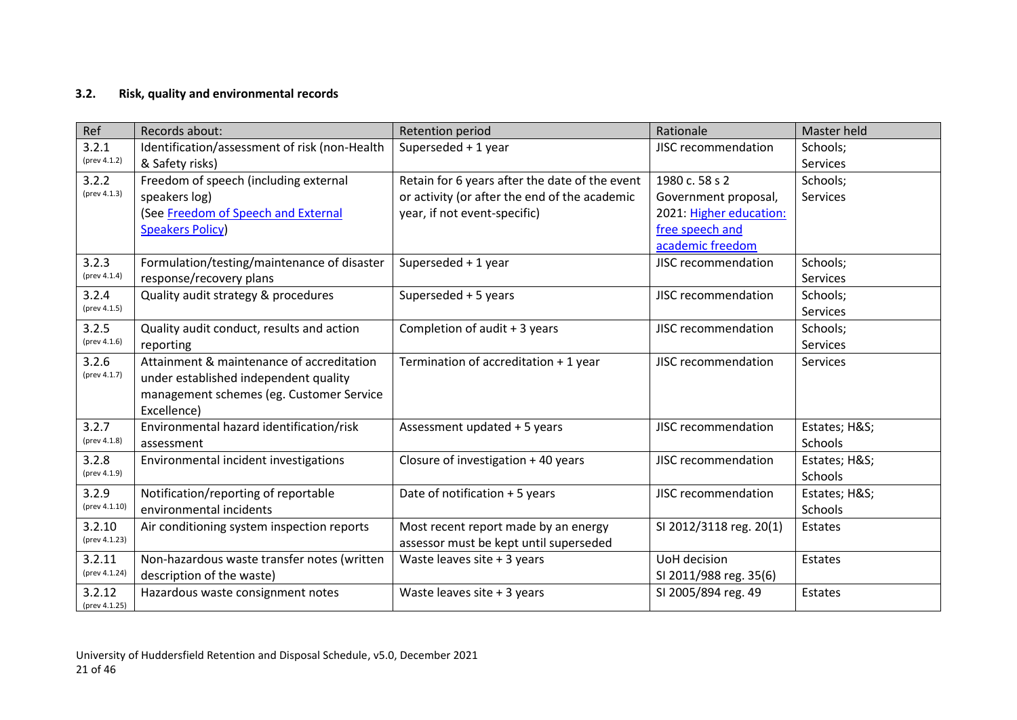## **3.2. Risk, quality and environmental records**

<span id="page-20-0"></span>

| Ref           | Records about:                                | Retention period                               | Rationale                  | Master held     |
|---------------|-----------------------------------------------|------------------------------------------------|----------------------------|-----------------|
| 3.2.1         | Identification/assessment of risk (non-Health | Superseded + 1 year                            | JISC recommendation        | Schools;        |
| (prev 4.1.2)  | & Safety risks)                               |                                                |                            | Services        |
| 3.2.2         | Freedom of speech (including external         | Retain for 6 years after the date of the event | 1980 c. 58 s 2             | Schools;        |
| (prev 4.1.3)  | speakers log)                                 | or activity (or after the end of the academic  | Government proposal,       | Services        |
|               | (See Freedom of Speech and External           | year, if not event-specific)                   | 2021: Higher education:    |                 |
|               | <b>Speakers Policy)</b>                       |                                                | free speech and            |                 |
|               |                                               |                                                | academic freedom           |                 |
| 3.2.3         | Formulation/testing/maintenance of disaster   | Superseded + 1 year                            | JISC recommendation        | Schools;        |
| (prev 4.1.4)  | response/recovery plans                       |                                                |                            | Services        |
| 3.2.4         | Quality audit strategy & procedures           | Superseded + 5 years                           | JISC recommendation        | Schools;        |
| (prev 4.1.5)  |                                               |                                                |                            | <b>Services</b> |
| 3.2.5         | Quality audit conduct, results and action     | Completion of audit + 3 years                  | JISC recommendation        | Schools;        |
| (prev 4.1.6)  | reporting                                     |                                                |                            | Services        |
| 3.2.6         | Attainment & maintenance of accreditation     | Termination of accreditation + 1 year          | JISC recommendation        | Services        |
| (prev 4.1.7)  | under established independent quality         |                                                |                            |                 |
|               | management schemes (eg. Customer Service      |                                                |                            |                 |
|               | Excellence)                                   |                                                |                            |                 |
| 3.2.7         | Environmental hazard identification/risk      | Assessment updated + 5 years                   | JISC recommendation        | Estates; H&S    |
| (prev 4.1.8)  | assessment                                    |                                                |                            | Schools         |
| 3.2.8         | Environmental incident investigations         | Closure of investigation + 40 years            | JISC recommendation        | Estates; H&S    |
| (prev 4.1.9)  |                                               |                                                |                            | Schools         |
| 3.2.9         | Notification/reporting of reportable          | Date of notification + 5 years                 | <b>JISC recommendation</b> | Estates; H&S    |
| (prev 4.1.10) | environmental incidents                       |                                                |                            | Schools         |
| 3.2.10        | Air conditioning system inspection reports    | Most recent report made by an energy           | SI 2012/3118 reg. 20(1)    | Estates         |
| (prev 4.1.23) |                                               | assessor must be kept until superseded         |                            |                 |
| 3.2.11        | Non-hazardous waste transfer notes (written   | Waste leaves site $+3$ years                   | UoH decision               | Estates         |
| (prev 4.1.24) | description of the waste)                     |                                                | SI 2011/988 reg. 35(6)     |                 |
| 3.2.12        | Hazardous waste consignment notes             | Waste leaves site + 3 years                    | SI 2005/894 reg. 49        | Estates         |
| (prev 4.1.25) |                                               |                                                |                            |                 |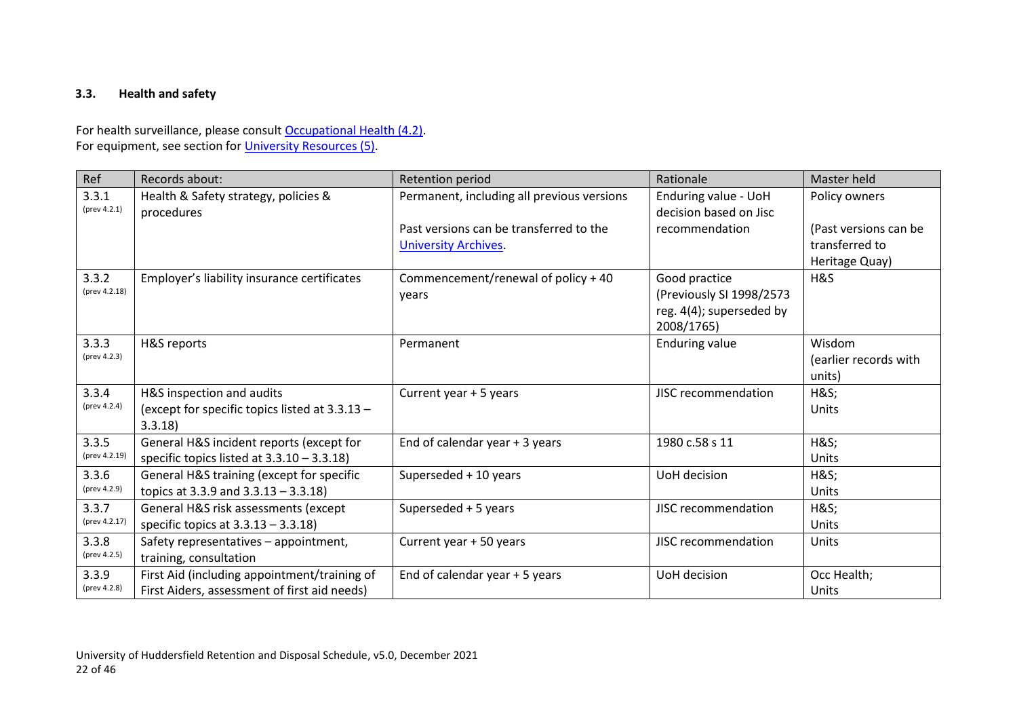## **3.3. Health and safety**

For health surveillance, please consult [Occupational Health \(4.2\).](#page-30-1) For equipment, see section for [University Resources \(5\).](#page-25-2)

<span id="page-21-0"></span>

| Ref                    | Records about:                                                                               | Retention period                                                       | Rationale                                                                           | Master held                                               |
|------------------------|----------------------------------------------------------------------------------------------|------------------------------------------------------------------------|-------------------------------------------------------------------------------------|-----------------------------------------------------------|
| 3.3.1<br>(prev 4.2.1)  | Health & Safety strategy, policies &<br>procedures                                           | Permanent, including all previous versions                             | Enduring value - UoH<br>decision based on Jisc                                      | Policy owners                                             |
|                        |                                                                                              | Past versions can be transferred to the<br><b>University Archives.</b> | recommendation                                                                      | (Past versions can be<br>transferred to<br>Heritage Quay) |
| 3.3.2<br>(prev 4.2.18) | Employer's liability insurance certificates                                                  | Commencement/renewal of policy + 40<br>years                           | Good practice<br>(Previously SI 1998/2573<br>reg. 4(4); superseded by<br>2008/1765) | H&S                                                       |
| 3.3.3<br>(prev 4.2.3)  | H&S reports                                                                                  | Permanent                                                              | <b>Enduring value</b>                                                               | Wisdom<br>(earlier records with<br>units)                 |
| 3.3.4<br>(prev 4.2.4)  | H&S inspection and audits<br>(except for specific topics listed at 3.3.13 -<br>3.3.18        | Current year + 5 years                                                 | <b>JISC recommendation</b>                                                          | <b>H&amp;S</b><br>Units                                   |
| 3.3.5<br>(prev 4.2.19) | General H&S incident reports (except for<br>specific topics listed at $3.3.10 - 3.3.18$ )    | End of calendar year + 3 years                                         | 1980 c.58 s 11                                                                      | <b>H&amp;S</b><br>Units                                   |
| 3.3.6<br>(prev 4.2.9)  | General H&S training (except for specific<br>topics at 3.3.9 and $3.3.13 - 3.3.18$ )         | Superseded + 10 years                                                  | UoH decision                                                                        | <b>H&amp;S</b><br>Units                                   |
| 3.3.7<br>(prev 4.2.17) | General H&S risk assessments (except<br>specific topics at $3.3.13 - 3.3.18$ )               | Superseded + 5 years                                                   | JISC recommendation                                                                 | <b>H&amp;S</b><br>Units                                   |
| 3.3.8<br>(prev 4.2.5)  | Safety representatives - appointment,<br>training, consultation                              | Current year + 50 years                                                | <b>JISC recommendation</b>                                                          | Units                                                     |
| 3.3.9<br>(prev 4.2.8)  | First Aid (including appointment/training of<br>First Aiders, assessment of first aid needs) | End of calendar year + 5 years                                         | <b>UoH</b> decision                                                                 | Occ Health;<br>Units                                      |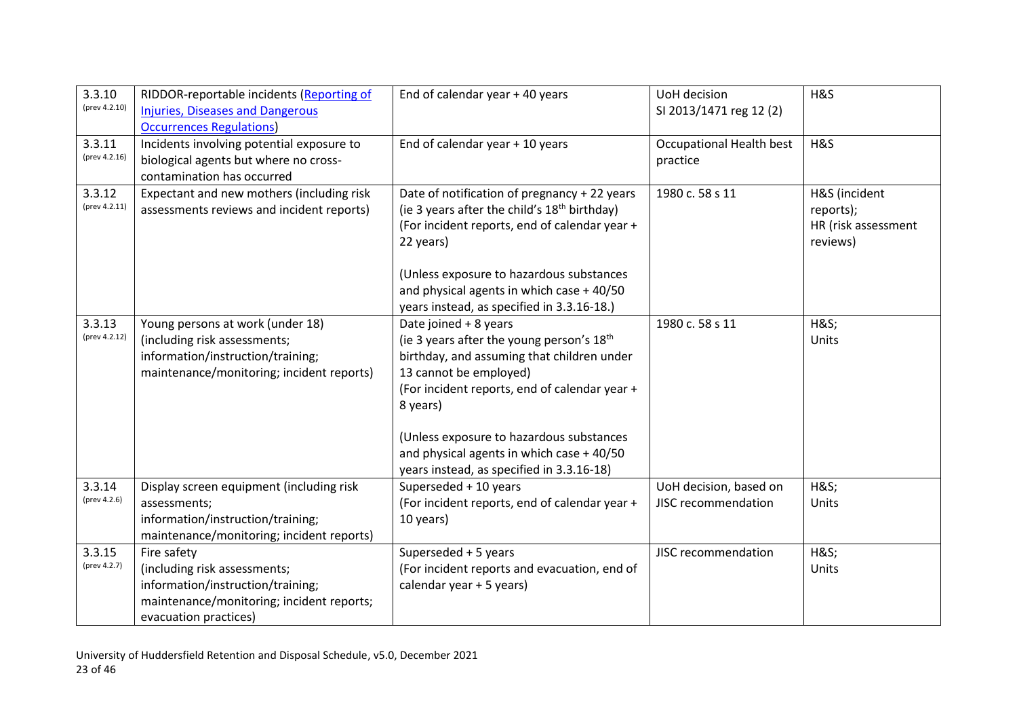| 3.3.10<br>(prev 4.2.10) | RIDDOR-reportable incidents (Reporting of<br><b>Injuries, Diseases and Dangerous</b><br><b>Occurrences Regulations)</b>                                | End of calendar year + 40 years                                                                                                                                                                                                                                                                                                                           | UoH decision<br>SI 2013/1471 reg 12 (2)       | H&S                                                           |
|-------------------------|--------------------------------------------------------------------------------------------------------------------------------------------------------|-----------------------------------------------------------------------------------------------------------------------------------------------------------------------------------------------------------------------------------------------------------------------------------------------------------------------------------------------------------|-----------------------------------------------|---------------------------------------------------------------|
| 3.3.11<br>(prev 4.2.16) | Incidents involving potential exposure to<br>biological agents but where no cross-<br>contamination has occurred                                       | End of calendar year + 10 years                                                                                                                                                                                                                                                                                                                           | <b>Occupational Health best</b><br>practice   | H&S                                                           |
| 3.3.12<br>(prev 4.2.11) | Expectant and new mothers (including risk<br>assessments reviews and incident reports)                                                                 | Date of notification of pregnancy + 22 years<br>(ie 3 years after the child's 18 <sup>th</sup> birthday)<br>(For incident reports, end of calendar year +<br>22 years)<br>(Unless exposure to hazardous substances<br>and physical agents in which case + 40/50<br>years instead, as specified in 3.3.16-18.)                                             | 1980 c. 58 s 11                               | H&S (incident<br>reports);<br>HR (risk assessment<br>reviews) |
| 3.3.13<br>(prev 4.2.12) | Young persons at work (under 18)<br>(including risk assessments;<br>information/instruction/training;<br>maintenance/monitoring; incident reports)     | Date joined + 8 years<br>(ie 3 years after the young person's 18 <sup>th</sup><br>birthday, and assuming that children under<br>13 cannot be employed)<br>(For incident reports, end of calendar year +<br>8 years)<br>(Unless exposure to hazardous substances<br>and physical agents in which case + 40/50<br>years instead, as specified in 3.3.16-18) | 1980 c. 58 s 11                               | <b>H&amp;S</b><br>Units                                       |
| 3.3.14<br>(prev 4.2.6)  | Display screen equipment (including risk<br>assessments;<br>information/instruction/training;<br>maintenance/monitoring; incident reports)             | Superseded + 10 years<br>(For incident reports, end of calendar year +<br>10 years)                                                                                                                                                                                                                                                                       | UoH decision, based on<br>JISC recommendation | <b>H&amp;S</b><br>Units                                       |
| 3.3.15<br>(prev 4.2.7)  | Fire safety<br>(including risk assessments;<br>information/instruction/training;<br>maintenance/monitoring; incident reports;<br>evacuation practices) | Superseded + 5 years<br>(For incident reports and evacuation, end of<br>calendar year + 5 years)                                                                                                                                                                                                                                                          | JISC recommendation                           | <b>H&amp;S</b><br>Units                                       |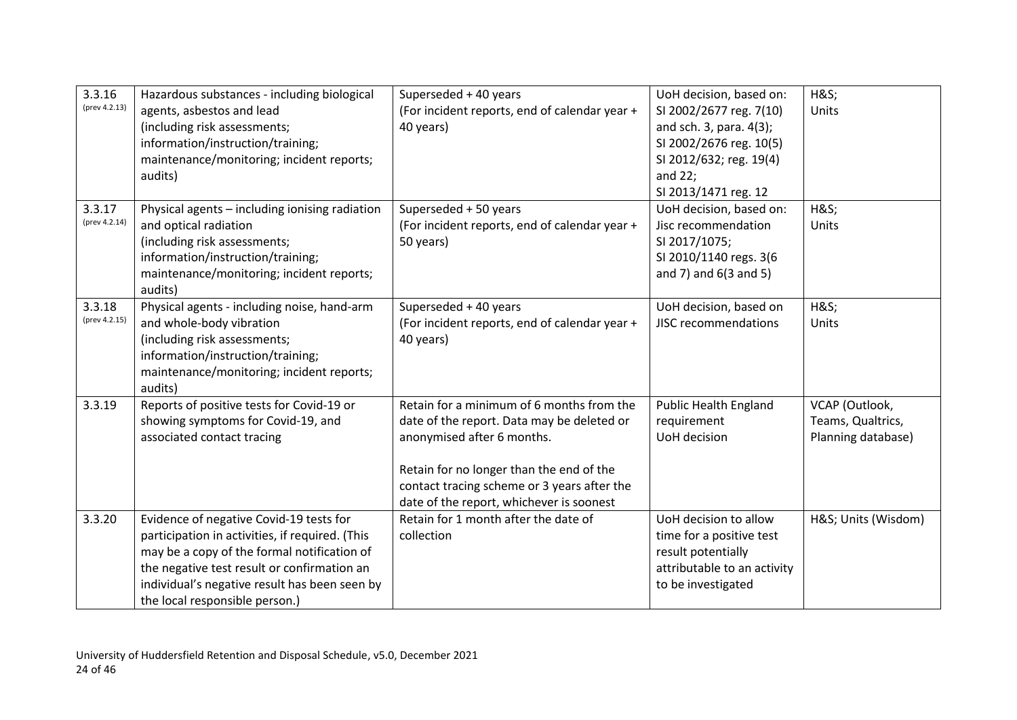| 3.3.16<br>(prev 4.2.13) | Hazardous substances - including biological<br>agents, asbestos and lead<br>(including risk assessments;<br>information/instruction/training;<br>maintenance/monitoring; incident reports;<br>audits)                                                                       | Superseded + 40 years<br>(For incident reports, end of calendar year +<br>40 years)                                                                                                                                                                          | UoH decision, based on:<br>SI 2002/2677 reg. 7(10)<br>and sch. 3, para. 4(3);<br>SI 2002/2676 reg. 10(5)<br>SI 2012/632; reg. 19(4)<br>and $22$ ;<br>SI 2013/1471 reg. 12 | <b>H&amp;S</b><br>Units                                   |
|-------------------------|-----------------------------------------------------------------------------------------------------------------------------------------------------------------------------------------------------------------------------------------------------------------------------|--------------------------------------------------------------------------------------------------------------------------------------------------------------------------------------------------------------------------------------------------------------|---------------------------------------------------------------------------------------------------------------------------------------------------------------------------|-----------------------------------------------------------|
| 3.3.17<br>(prev 4.2.14) | Physical agents - including ionising radiation<br>and optical radiation<br>(including risk assessments;<br>information/instruction/training;<br>maintenance/monitoring; incident reports;<br>audits)                                                                        | Superseded + 50 years<br>(For incident reports, end of calendar year +<br>50 years)                                                                                                                                                                          | UoH decision, based on:<br>Jisc recommendation<br>SI 2017/1075;<br>SI 2010/1140 regs. 3(6<br>and $7$ ) and $6(3$ and $5)$                                                 | <b>H&amp;S</b><br>Units                                   |
| 3.3.18<br>(prev 4.2.15) | Physical agents - including noise, hand-arm<br>and whole-body vibration<br>(including risk assessments;<br>information/instruction/training;<br>maintenance/monitoring; incident reports;<br>audits)                                                                        | Superseded + 40 years<br>(For incident reports, end of calendar year +<br>40 years)                                                                                                                                                                          | UoH decision, based on<br><b>JISC recommendations</b>                                                                                                                     | <b>H&amp;S</b><br>Units                                   |
| 3.3.19                  | Reports of positive tests for Covid-19 or<br>showing symptoms for Covid-19, and<br>associated contact tracing                                                                                                                                                               | Retain for a minimum of 6 months from the<br>date of the report. Data may be deleted or<br>anonymised after 6 months.<br>Retain for no longer than the end of the<br>contact tracing scheme or 3 years after the<br>date of the report, whichever is soonest | <b>Public Health England</b><br>requirement<br>UoH decision                                                                                                               | VCAP (Outlook,<br>Teams, Qualtrics,<br>Planning database) |
| 3.3.20                  | Evidence of negative Covid-19 tests for<br>participation in activities, if required. (This<br>may be a copy of the formal notification of<br>the negative test result or confirmation an<br>individual's negative result has been seen by<br>the local responsible person.) | Retain for 1 month after the date of<br>collection                                                                                                                                                                                                           | UoH decision to allow<br>time for a positive test<br>result potentially<br>attributable to an activity<br>to be investigated                                              | H&S Units (Wisdom)                                        |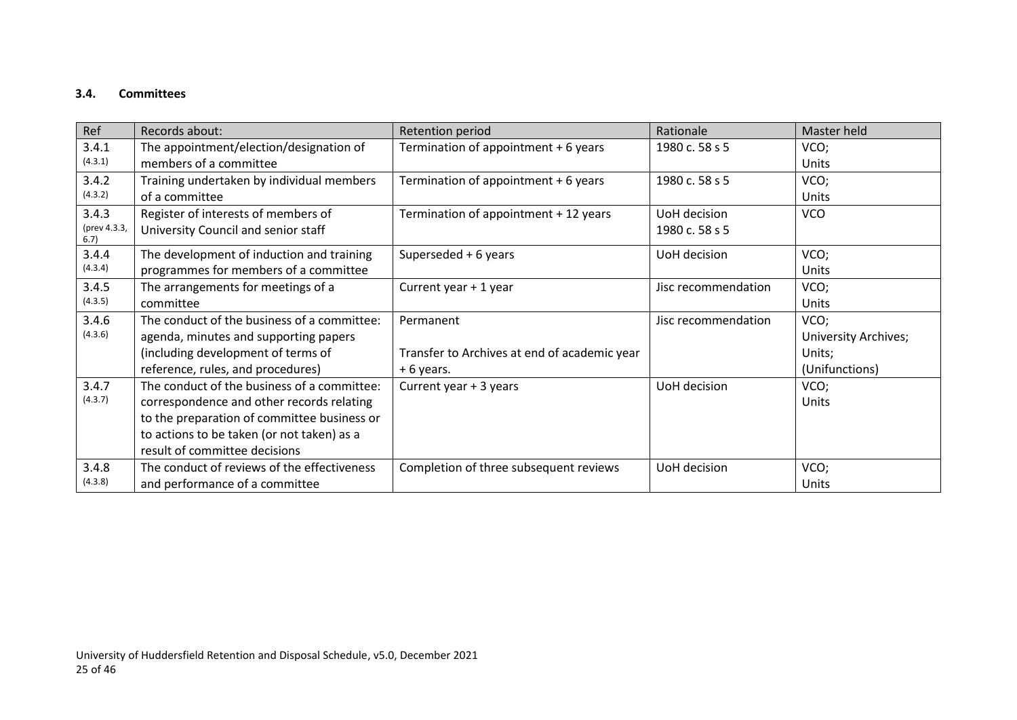## **3.4. Committees**

<span id="page-24-0"></span>

| Ref                  | Records about:                              | Retention period                             | Rationale           | Master held          |
|----------------------|---------------------------------------------|----------------------------------------------|---------------------|----------------------|
| 3.4.1                | The appointment/election/designation of     | Termination of appointment + 6 years         | 1980 c. 58 s 5      | VCO;                 |
| (4.3.1)              | members of a committee                      |                                              |                     | Units                |
| 3.4.2                | Training undertaken by individual members   | Termination of appointment + 6 years         | 1980 c. 58 s 5      | VCO;                 |
| (4.3.2)              | of a committee                              |                                              |                     | Units                |
| 3.4.3                | Register of interests of members of         | Termination of appointment + 12 years        | UoH decision        | <b>VCO</b>           |
| (prev 4.3.3,<br>6.7) | University Council and senior staff         |                                              | 1980 c. 58 s 5      |                      |
| 3.4.4                | The development of induction and training   | Superseded + 6 years                         | UoH decision        | VCO;                 |
| (4.3.4)              | programmes for members of a committee       |                                              |                     | Units                |
| 3.4.5                | The arrangements for meetings of a          | Current year + 1 year                        | Jisc recommendation | VCO;                 |
| (4.3.5)              | committee                                   |                                              |                     | Units                |
| 3.4.6                | The conduct of the business of a committee: | Permanent                                    | Jisc recommendation | VCO;                 |
| (4.3.6)              | agenda, minutes and supporting papers       |                                              |                     | University Archives; |
|                      | (including development of terms of          | Transfer to Archives at end of academic year |                     | Units;               |
|                      | reference, rules, and procedures)           | +6 years.                                    |                     | (Unifunctions)       |
| 3.4.7                | The conduct of the business of a committee: | Current year + 3 years                       | UoH decision        | VCO;                 |
| (4.3.7)              | correspondence and other records relating   |                                              |                     | Units                |
|                      | to the preparation of committee business or |                                              |                     |                      |
|                      | to actions to be taken (or not taken) as a  |                                              |                     |                      |
|                      | result of committee decisions               |                                              |                     |                      |
| 3.4.8                | The conduct of reviews of the effectiveness | Completion of three subsequent reviews       | UoH decision        | VCO;                 |
| (4.3.8)              | and performance of a committee              |                                              |                     | Units                |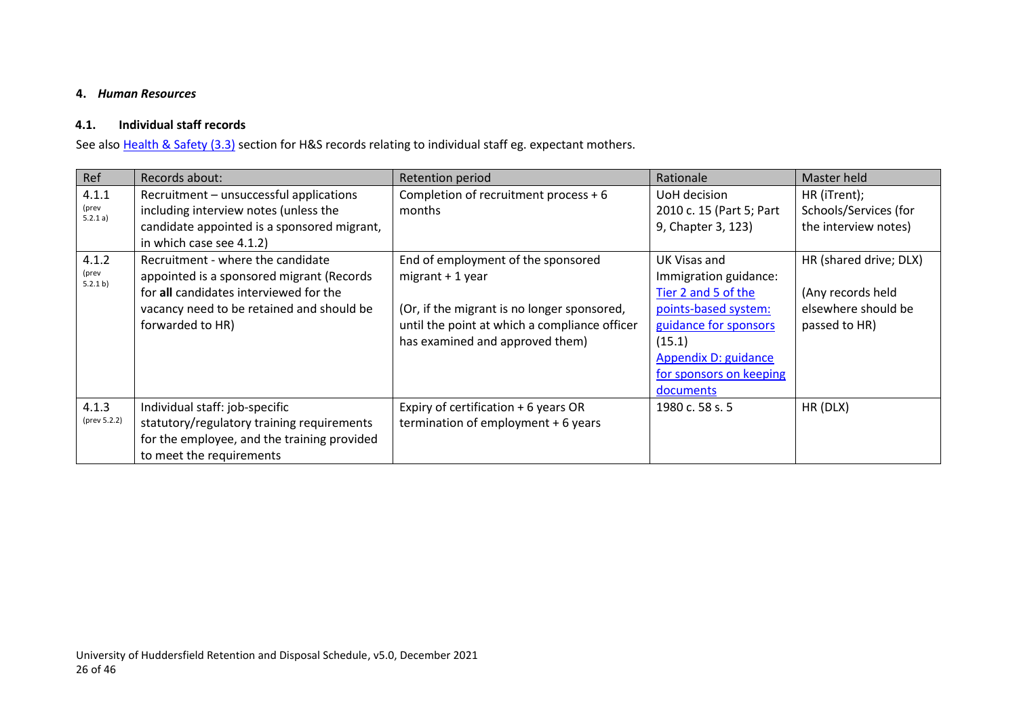#### <span id="page-25-2"></span>**4.** *Human Resources*

### **4.1. Individual staff records**

See also Health & Safety (3.3) section for H&S records relating to individual staff eg. expectant mothers.

<span id="page-25-1"></span><span id="page-25-0"></span>

| Ref                        | Records about:                                                                                                                                                                            | Retention period                                                                                                                                                                            | Rationale                                                                                                                                                                               | Master held                                                                         |
|----------------------------|-------------------------------------------------------------------------------------------------------------------------------------------------------------------------------------------|---------------------------------------------------------------------------------------------------------------------------------------------------------------------------------------------|-----------------------------------------------------------------------------------------------------------------------------------------------------------------------------------------|-------------------------------------------------------------------------------------|
| 4.1.1<br>(prev<br>5.2.1 a) | Recruitment - unsuccessful applications<br>including interview notes (unless the<br>candidate appointed is a sponsored migrant,<br>in which case see 4.1.2)                               | Completion of recruitment process $+6$<br>months                                                                                                                                            | UoH decision<br>2010 c. 15 (Part 5; Part<br>9, Chapter 3, 123)                                                                                                                          | HR (iTrent);<br>Schools/Services (for<br>the interview notes)                       |
| 4.1.2<br>(prev<br>5.2.1 b) | Recruitment - where the candidate<br>appointed is a sponsored migrant (Records<br>for all candidates interviewed for the<br>vacancy need to be retained and should be<br>forwarded to HR) | End of employment of the sponsored<br>$migrant + 1$ year<br>(Or, if the migrant is no longer sponsored,<br>until the point at which a compliance officer<br>has examined and approved them) | UK Visas and<br>Immigration guidance:<br>Tier 2 and 5 of the<br>points-based system:<br>guidance for sponsors<br>(15.1)<br>Appendix D: guidance<br>for sponsors on keeping<br>documents | HR (shared drive; DLX)<br>(Any records held<br>elsewhere should be<br>passed to HR) |
| 4.1.3<br>(prev 5.2.2)      | Individual staff: job-specific<br>statutory/regulatory training requirements<br>for the employee, and the training provided<br>to meet the requirements                                   | Expiry of certification + 6 years OR<br>termination of employment $+6$ years                                                                                                                | 1980 c. 58 s. 5                                                                                                                                                                         | HR (DLX)                                                                            |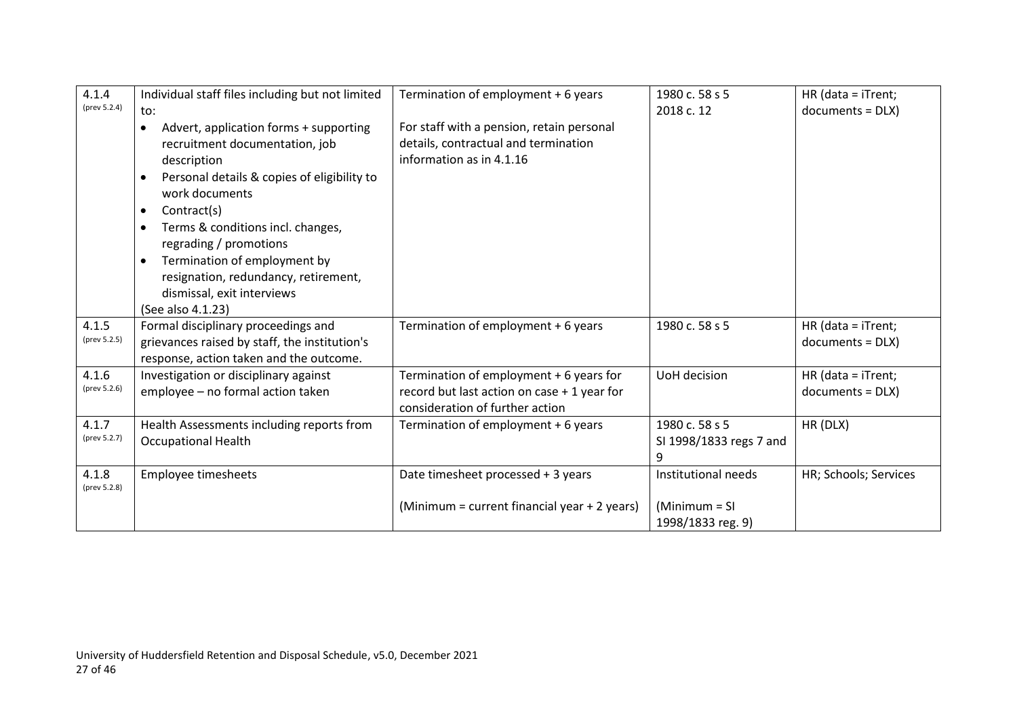| 4.1.4<br>(prev 5.2.4) | Individual staff files including but not limited<br>to:                                                                                                                                                                                                                                                                                                                                                                            | Termination of employment + 6 years                                                                                       | 1980 c. 58 s 5<br>2018 c. 12                                 | HR (data = $i$ Trent;<br>$documents = DLY)$ |
|-----------------------|------------------------------------------------------------------------------------------------------------------------------------------------------------------------------------------------------------------------------------------------------------------------------------------------------------------------------------------------------------------------------------------------------------------------------------|---------------------------------------------------------------------------------------------------------------------------|--------------------------------------------------------------|---------------------------------------------|
|                       | Advert, application forms + supporting<br>$\bullet$<br>recruitment documentation, job<br>description<br>Personal details & copies of eligibility to<br>$\bullet$<br>work documents<br>Contract(s)<br>$\bullet$<br>Terms & conditions incl. changes,<br>$\bullet$<br>regrading / promotions<br>Termination of employment by<br>$\bullet$<br>resignation, redundancy, retirement,<br>dismissal, exit interviews<br>(See also 4.1.23) | For staff with a pension, retain personal<br>details, contractual and termination<br>information as in 4.1.16             |                                                              |                                             |
| 4.1.5<br>(prev 5.2.5) | Formal disciplinary proceedings and<br>grievances raised by staff, the institution's<br>response, action taken and the outcome.                                                                                                                                                                                                                                                                                                    | Termination of employment + 6 years                                                                                       | 1980 c. 58 s 5                                               | HR (data = $i$ Trent;<br>$documents = DLY)$ |
| 4.1.6<br>(prev 5.2.6) | Investigation or disciplinary against<br>employee - no formal action taken                                                                                                                                                                                                                                                                                                                                                         | Termination of employment + 6 years for<br>record but last action on case + 1 year for<br>consideration of further action | UoH decision                                                 | HR (data = $i$ Trent;<br>$documents = DLY)$ |
| 4.1.7<br>(prev 5.2.7) | Health Assessments including reports from<br><b>Occupational Health</b>                                                                                                                                                                                                                                                                                                                                                            | Termination of employment + 6 years                                                                                       | 1980 c. 58 s 5<br>SI 1998/1833 regs 7 and<br>9               | HR (DLX)                                    |
| 4.1.8<br>(prev 5.2.8) | Employee timesheets                                                                                                                                                                                                                                                                                                                                                                                                                | Date timesheet processed + 3 years<br>(Minimum = current financial year + 2 years)                                        | Institutional needs<br>$(Minimum = SI)$<br>1998/1833 reg. 9) | HR; Schools; Services                       |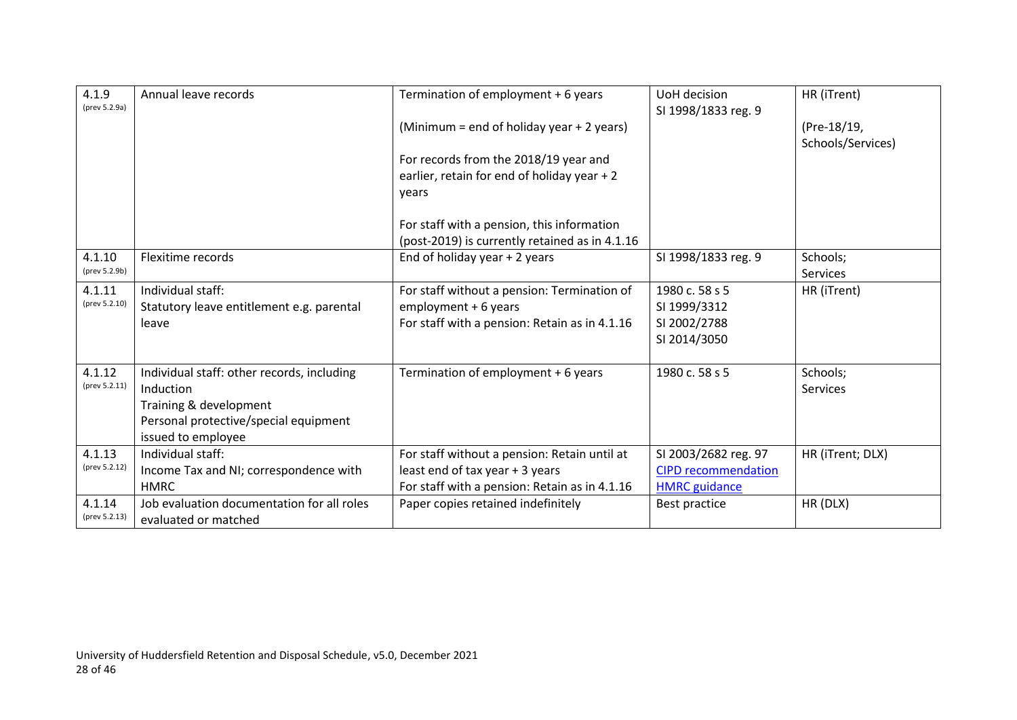| 4.1.9<br>(prev 5.2.9a)  | Annual leave records                                                                                                                             | Termination of employment + 6 years                                                                                              | UoH decision<br>SI 1998/1833 reg. 9                                        | HR (iTrent)                      |
|-------------------------|--------------------------------------------------------------------------------------------------------------------------------------------------|----------------------------------------------------------------------------------------------------------------------------------|----------------------------------------------------------------------------|----------------------------------|
|                         |                                                                                                                                                  | (Minimum = end of holiday year + 2 years)                                                                                        |                                                                            | (Pre-18/19,<br>Schools/Services) |
|                         |                                                                                                                                                  | For records from the 2018/19 year and<br>earlier, retain for end of holiday year + 2<br>years                                    |                                                                            |                                  |
|                         |                                                                                                                                                  | For staff with a pension, this information<br>(post-2019) is currently retained as in 4.1.16                                     |                                                                            |                                  |
| 4.1.10<br>(prev 5.2.9b) | Flexitime records                                                                                                                                | End of holiday year $+2$ years                                                                                                   | SI 1998/1833 reg. 9                                                        | Schools;<br><b>Services</b>      |
| 4.1.11<br>(prev 5.2.10) | Individual staff:<br>Statutory leave entitlement e.g. parental<br>leave                                                                          | For staff without a pension: Termination of<br>employment + 6 years<br>For staff with a pension: Retain as in 4.1.16             | 1980 c. 58 s 5<br>SI 1999/3312<br>SI 2002/2788<br>SI 2014/3050             | HR (iTrent)                      |
| 4.1.12<br>(prev 5.2.11) | Individual staff: other records, including<br>Induction<br>Training & development<br>Personal protective/special equipment<br>issued to employee | Termination of employment + 6 years                                                                                              | 1980 c. 58 s 5                                                             | Schools;<br><b>Services</b>      |
| 4.1.13<br>(prev 5.2.12) | Individual staff:<br>Income Tax and NI; correspondence with<br><b>HMRC</b>                                                                       | For staff without a pension: Retain until at<br>least end of tax year + 3 years<br>For staff with a pension: Retain as in 4.1.16 | SI 2003/2682 reg. 97<br><b>CIPD recommendation</b><br><b>HMRC</b> guidance | HR (iTrent; DLX)                 |
| 4.1.14<br>(prev 5.2.13) | Job evaluation documentation for all roles<br>evaluated or matched                                                                               | Paper copies retained indefinitely                                                                                               | Best practice                                                              | HR (DLX)                         |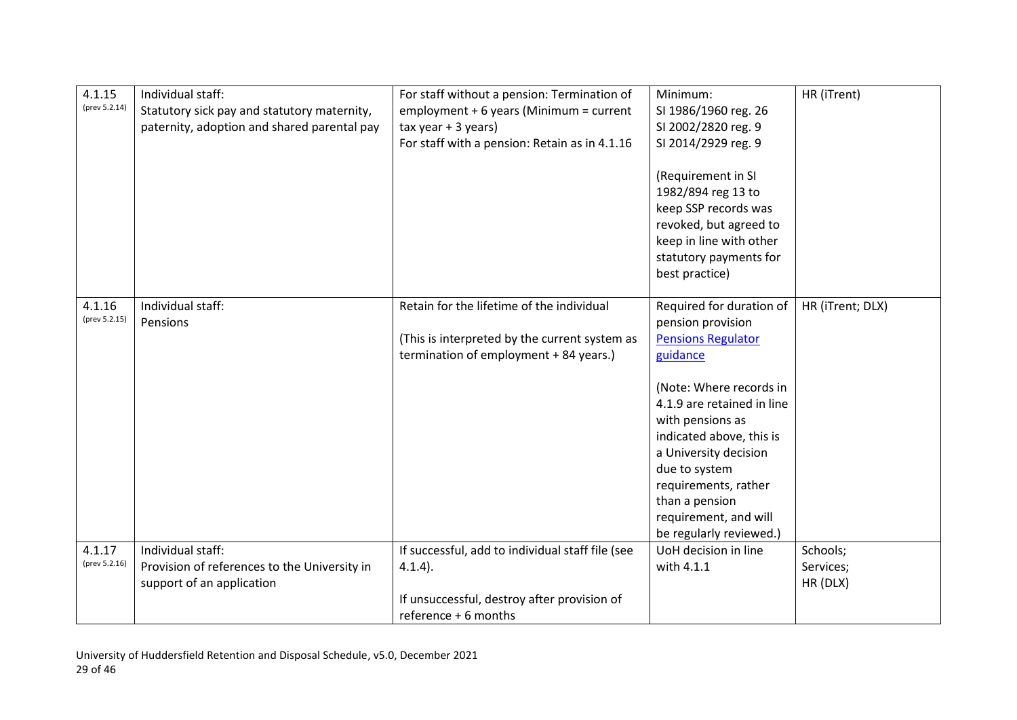| 4.1.15<br>(prev 5.2.14) | Individual staff:<br>Statutory sick pay and statutory maternity,<br>paternity, adoption and shared parental pay | For staff without a pension: Termination of<br>employment + $6$ years (Minimum = current<br>$tax year + 3 years)$<br>For staff with a pension: Retain as in 4.1.16 | Minimum:<br>SI 1986/1960 reg. 26<br>SI 2002/2820 reg. 9<br>SI 2014/2929 reg. 9<br>(Requirement in SI<br>1982/894 reg 13 to<br>keep SSP records was<br>revoked, but agreed to<br>keep in line with other<br>statutory payments for<br>best practice)                                                                                     | HR (iTrent)                       |
|-------------------------|-----------------------------------------------------------------------------------------------------------------|--------------------------------------------------------------------------------------------------------------------------------------------------------------------|-----------------------------------------------------------------------------------------------------------------------------------------------------------------------------------------------------------------------------------------------------------------------------------------------------------------------------------------|-----------------------------------|
| 4.1.16<br>(prev 5.2.15) | Individual staff:<br>Pensions                                                                                   | Retain for the lifetime of the individual<br>(This is interpreted by the current system as<br>termination of employment + 84 years.)                               | Required for duration of<br>pension provision<br><b>Pensions Regulator</b><br>guidance<br>(Note: Where records in<br>4.1.9 are retained in line<br>with pensions as<br>indicated above, this is<br>a University decision<br>due to system<br>requirements, rather<br>than a pension<br>requirement, and will<br>be regularly reviewed.) | HR (iTrent; DLX)                  |
| 4.1.17<br>(prev 5.2.16) | Individual staff:<br>Provision of references to the University in<br>support of an application                  | If successful, add to individual staff file (see<br>$4.1.4$ ).<br>If unsuccessful, destroy after provision of<br>reference + 6 months                              | UoH decision in line<br>with 4.1.1                                                                                                                                                                                                                                                                                                      | Schools;<br>Services;<br>HR (DLX) |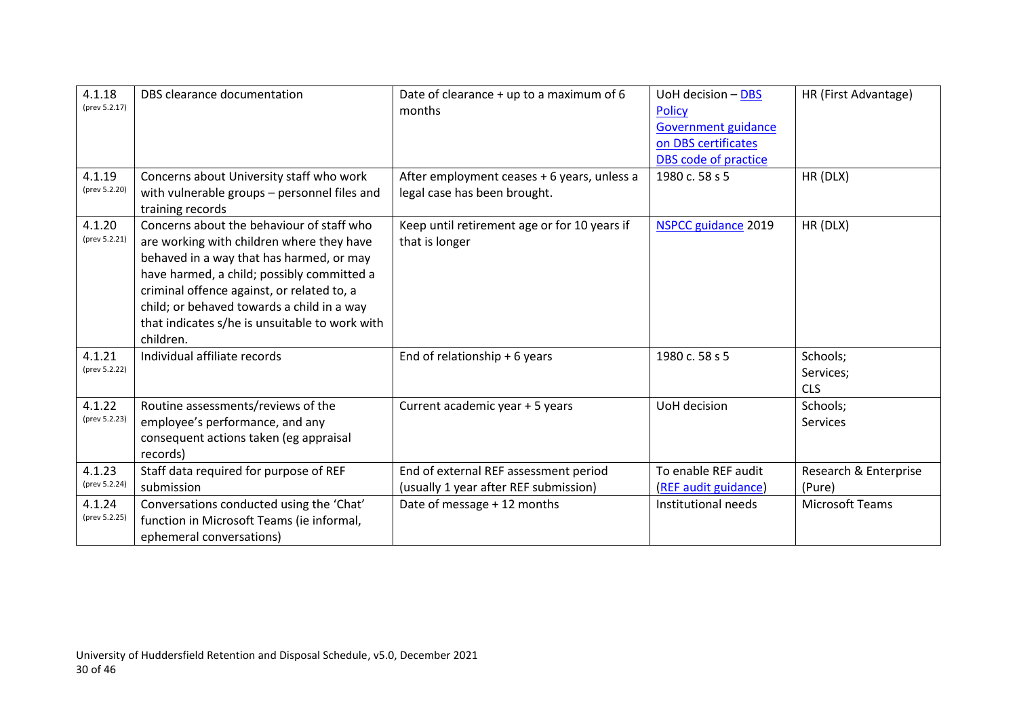| 4.1.18<br>(prev 5.2.17)<br>4.1.19<br>(prev 5.2.20) | DBS clearance documentation<br>Concerns about University staff who work<br>with vulnerable groups - personnel files and<br>training records                                                                                                                                                                                                 | Date of clearance + up to a maximum of 6<br>months<br>After employment ceases + 6 years, unless a<br>legal case has been brought. | UoH decision - DBS<br><b>Policy</b><br>Government guidance<br>on DBS certificates<br>DBS code of practice<br>1980 c. 58 s 5 | HR (First Advantage)<br>HR (DLX)    |
|----------------------------------------------------|---------------------------------------------------------------------------------------------------------------------------------------------------------------------------------------------------------------------------------------------------------------------------------------------------------------------------------------------|-----------------------------------------------------------------------------------------------------------------------------------|-----------------------------------------------------------------------------------------------------------------------------|-------------------------------------|
| 4.1.20<br>(prev 5.2.21)                            | Concerns about the behaviour of staff who<br>are working with children where they have<br>behaved in a way that has harmed, or may<br>have harmed, a child; possibly committed a<br>criminal offence against, or related to, a<br>child; or behaved towards a child in a way<br>that indicates s/he is unsuitable to work with<br>children. | Keep until retirement age or for 10 years if<br>that is longer                                                                    | <b>NSPCC guidance 2019</b>                                                                                                  | HR (DLX)                            |
| 4.1.21<br>(prev 5.2.22)                            | Individual affiliate records                                                                                                                                                                                                                                                                                                                | End of relationship $+6$ years                                                                                                    | 1980 c. 58 s 5                                                                                                              | Schools;<br>Services;<br><b>CLS</b> |
| 4.1.22<br>(prev 5.2.23)                            | Routine assessments/reviews of the<br>employee's performance, and any<br>consequent actions taken (eg appraisal<br>records)                                                                                                                                                                                                                 | Current academic year + 5 years                                                                                                   | UoH decision                                                                                                                | Schools;<br>Services                |
| 4.1.23<br>(prev 5.2.24)                            | Staff data required for purpose of REF<br>submission                                                                                                                                                                                                                                                                                        | End of external REF assessment period<br>(usually 1 year after REF submission)                                                    | To enable REF audit<br>(REF audit guidance)                                                                                 | Research & Enterprise<br>(Pure)     |
| 4.1.24<br>(prev 5.2.25)                            | Conversations conducted using the 'Chat'<br>function in Microsoft Teams (ie informal,<br>ephemeral conversations)                                                                                                                                                                                                                           | Date of message + 12 months                                                                                                       | Institutional needs                                                                                                         | <b>Microsoft Teams</b>              |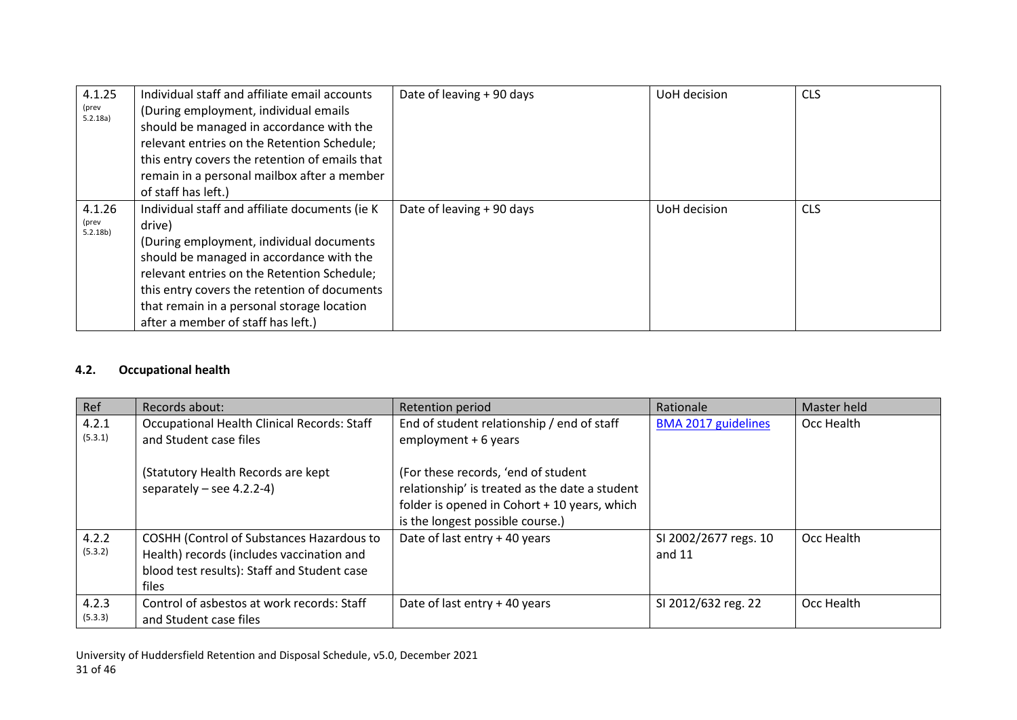| 4.1.25<br>(prev<br>5.2.18a)            | Individual staff and affiliate email accounts<br>(During employment, individual emails<br>should be managed in accordance with the<br>relevant entries on the Retention Schedule;<br>this entry covers the retention of emails that<br>remain in a personal mailbox after a member<br>of staff has left.)                            | Date of leaving + 90 days | UoH decision | <b>CLS</b> |
|----------------------------------------|--------------------------------------------------------------------------------------------------------------------------------------------------------------------------------------------------------------------------------------------------------------------------------------------------------------------------------------|---------------------------|--------------|------------|
| 4.1.26<br>(prev<br>5.2.18 <sub>b</sub> | Individual staff and affiliate documents (ie K)<br>drive)<br>(During employment, individual documents<br>should be managed in accordance with the<br>relevant entries on the Retention Schedule;<br>this entry covers the retention of documents<br>that remain in a personal storage location<br>after a member of staff has left.) | Date of leaving + 90 days | UoH decision | <b>CLS</b> |

#### <span id="page-30-1"></span>**4.2. Occupational health**

<span id="page-30-0"></span>

| Ref              | Records about:                                                                                                                                 | Retention period                                                                                                                                                                                                                                | Rationale                         | Master held |
|------------------|------------------------------------------------------------------------------------------------------------------------------------------------|-------------------------------------------------------------------------------------------------------------------------------------------------------------------------------------------------------------------------------------------------|-----------------------------------|-------------|
| 4.2.1<br>(5.3.1) | Occupational Health Clinical Records: Staff<br>and Student case files<br>(Statutory Health Records are kept<br>separately $-$ see 4.2.2-4)     | End of student relationship / end of staff<br>employment + 6 years<br>(For these records, 'end of student<br>relationship' is treated as the date a student<br>folder is opened in Cohort + 10 years, which<br>is the longest possible course.) | <b>BMA 2017 guidelines</b>        | Occ Health  |
| 4.2.2<br>(5.3.2) | COSHH (Control of Substances Hazardous to<br>Health) records (includes vaccination and<br>blood test results): Staff and Student case<br>files | Date of last entry + 40 years                                                                                                                                                                                                                   | SI 2002/2677 regs. 10<br>and $11$ | Occ Health  |
| 4.2.3<br>(5.3.3) | Control of asbestos at work records: Staff<br>and Student case files                                                                           | Date of last entry + 40 years                                                                                                                                                                                                                   | SI 2012/632 reg. 22               | Occ Health  |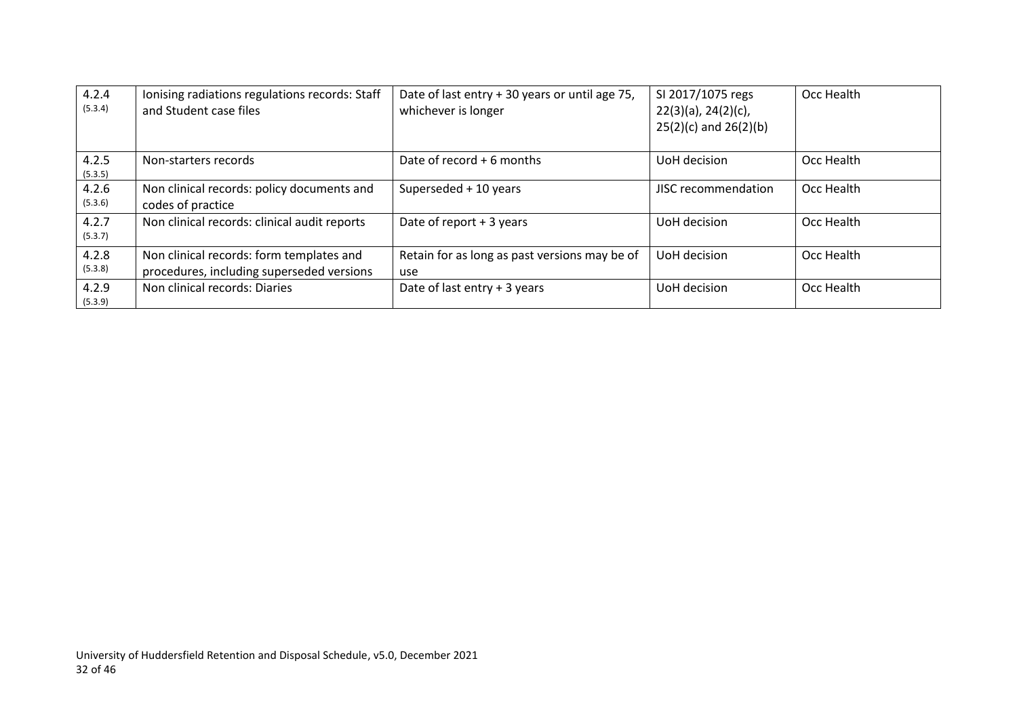| 4.2.4<br>(5.3.4) | Ionising radiations regulations records: Staff<br>and Student case files              | Date of last entry + 30 years or until age 75,<br>whichever is longer | SI 2017/1075 regs<br>$22(3)(a)$ , $24(2)(c)$ ,<br>$25(2)(c)$ and $26(2)(b)$ | Occ Health |
|------------------|---------------------------------------------------------------------------------------|-----------------------------------------------------------------------|-----------------------------------------------------------------------------|------------|
| 4.2.5<br>(5.3.5) | Non-starters records                                                                  | Date of record $+6$ months                                            | UoH decision                                                                | Occ Health |
| 4.2.6<br>(5.3.6) | Non clinical records: policy documents and<br>codes of practice                       | Superseded + 10 years                                                 | JISC recommendation                                                         | Occ Health |
| 4.2.7<br>(5.3.7) | Non clinical records: clinical audit reports                                          | Date of report + 3 years                                              | UoH decision                                                                | Occ Health |
| 4.2.8<br>(5.3.8) | Non clinical records: form templates and<br>procedures, including superseded versions | Retain for as long as past versions may be of<br>use                  | UoH decision                                                                | Occ Health |
| 4.2.9<br>(5.3.9) | Non clinical records: Diaries                                                         | Date of last entry + 3 years                                          | UoH decision                                                                | Occ Health |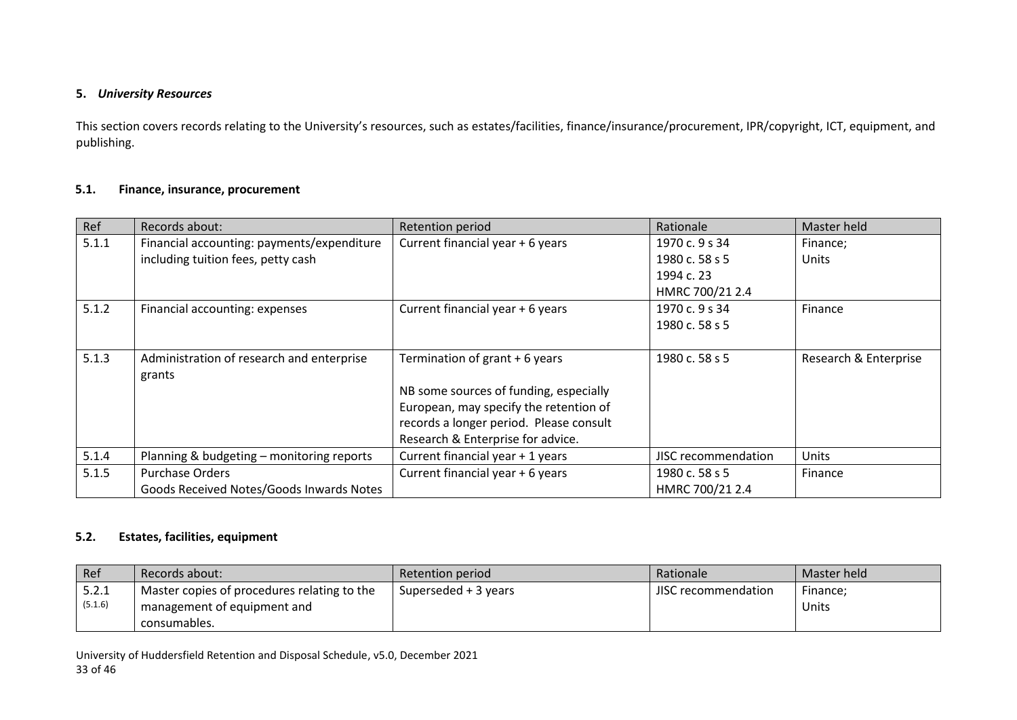#### **5.** *University Resources*

This section covers records relating to the University's resources, such as estates/facilities, finance/insurance/procurement, IPR/copyright, ICT, equipment, and publishing.

#### **5.1. Finance, insurance, procurement**

| Ref   | Records about:                             | <b>Retention period</b>                 | Rationale           | Master held           |
|-------|--------------------------------------------|-----------------------------------------|---------------------|-----------------------|
| 5.1.1 | Financial accounting: payments/expenditure | Current financial year + 6 years        | 1970 c. 9 s 34      | Finance;              |
|       | including tuition fees, petty cash         |                                         | 1980 c. 58 s 5      | <b>Units</b>          |
|       |                                            |                                         | 1994 c. 23          |                       |
|       |                                            |                                         | HMRC 700/21 2.4     |                       |
| 5.1.2 | Financial accounting: expenses             | Current financial year + 6 years        | 1970 c. 9 s 34      | Finance               |
|       |                                            |                                         | 1980 c. 58 s 5      |                       |
|       |                                            |                                         |                     |                       |
| 5.1.3 | Administration of research and enterprise  | Termination of grant + 6 years          | 1980 c. 58 s 5      | Research & Enterprise |
|       | grants                                     |                                         |                     |                       |
|       |                                            | NB some sources of funding, especially  |                     |                       |
|       |                                            | European, may specify the retention of  |                     |                       |
|       |                                            | records a longer period. Please consult |                     |                       |
|       |                                            | Research & Enterprise for advice.       |                     |                       |
| 5.1.4 | Planning & budgeting - monitoring reports  | Current financial year + 1 years        | JISC recommendation | <b>Units</b>          |
| 5.1.5 | <b>Purchase Orders</b>                     | Current financial year + 6 years        | 1980 c. 58 s 5      | Finance               |
|       | Goods Received Notes/Goods Inwards Notes   |                                         | HMRC 700/21 2.4     |                       |

#### <span id="page-32-1"></span><span id="page-32-0"></span>**5.2. Estates, facilities, equipment**

| Ref              | Records about:                              | Retention period     | Rationale           | Master held |
|------------------|---------------------------------------------|----------------------|---------------------|-------------|
| 5.2.1<br>(5.1.6) | Master copies of procedures relating to the | Superseded + 3 years | JISC recommendation | Finance;    |
|                  | management of equipment and<br>consumables. |                      |                     | Units       |

<span id="page-32-2"></span>University of Huddersfield Retention and Disposal Schedule, v5.0, December 2021 33 of 46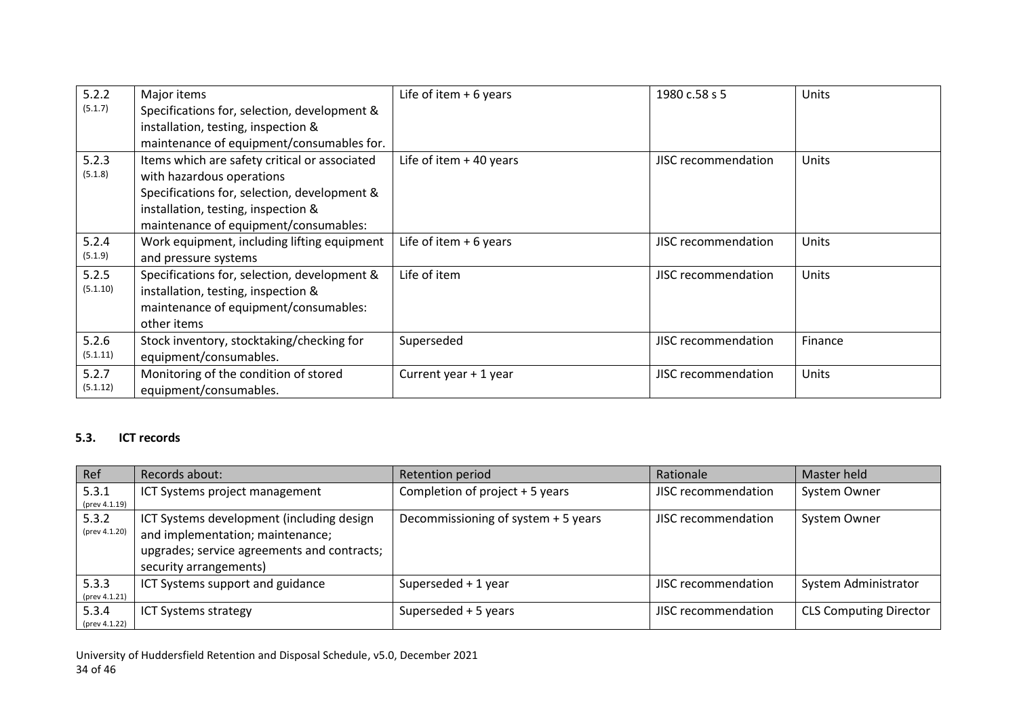| 5.2.2    | Major items                                   | Life of item $+6$ years   | 1980 c.58 s 5       | <b>Units</b> |
|----------|-----------------------------------------------|---------------------------|---------------------|--------------|
| (5.1.7)  | Specifications for, selection, development &  |                           |                     |              |
|          | installation, testing, inspection &           |                           |                     |              |
|          | maintenance of equipment/consumables for.     |                           |                     |              |
| 5.2.3    | Items which are safety critical or associated | Life of item $+$ 40 years | JISC recommendation | Units        |
| (5.1.8)  | with hazardous operations                     |                           |                     |              |
|          | Specifications for, selection, development &  |                           |                     |              |
|          | installation, testing, inspection &           |                           |                     |              |
|          | maintenance of equipment/consumables:         |                           |                     |              |
| 5.2.4    | Work equipment, including lifting equipment   | Life of item $+6$ years   | JISC recommendation | Units        |
| (5.1.9)  | and pressure systems                          |                           |                     |              |
| 5.2.5    | Specifications for, selection, development &  | Life of item              | JISC recommendation | Units        |
| (5.1.10) | installation, testing, inspection &           |                           |                     |              |
|          | maintenance of equipment/consumables:         |                           |                     |              |
|          | other items                                   |                           |                     |              |
| 5.2.6    | Stock inventory, stocktaking/checking for     | Superseded                | JISC recommendation | Finance      |
| (5.1.11) | equipment/consumables.                        |                           |                     |              |
| 5.2.7    | Monitoring of the condition of stored         | Current year + 1 year     | JISC recommendation | Units        |
| (5.1.12) | equipment/consumables.                        |                           |                     |              |

## **5.3. ICT records**

<span id="page-33-0"></span>

| Ref                    | Records about:                                                                                                                                         | Retention period                    | Rationale           | Master held                   |
|------------------------|--------------------------------------------------------------------------------------------------------------------------------------------------------|-------------------------------------|---------------------|-------------------------------|
| 5.3.1<br>(prev 4.1.19) | ICT Systems project management                                                                                                                         | Completion of project + 5 years     | JISC recommendation | System Owner                  |
| 5.3.2<br>(prev 4.1.20) | ICT Systems development (including design<br>and implementation; maintenance;<br>upgrades; service agreements and contracts;<br>security arrangements) | Decommissioning of system + 5 years | JISC recommendation | System Owner                  |
| 5.3.3<br>(prev 4.1.21) | ICT Systems support and guidance                                                                                                                       | Superseded + 1 year                 | JISC recommendation | System Administrator          |
| 5.3.4<br>(prev 4.1.22) | <b>ICT Systems strategy</b>                                                                                                                            | Superseded + 5 years                | JISC recommendation | <b>CLS Computing Director</b> |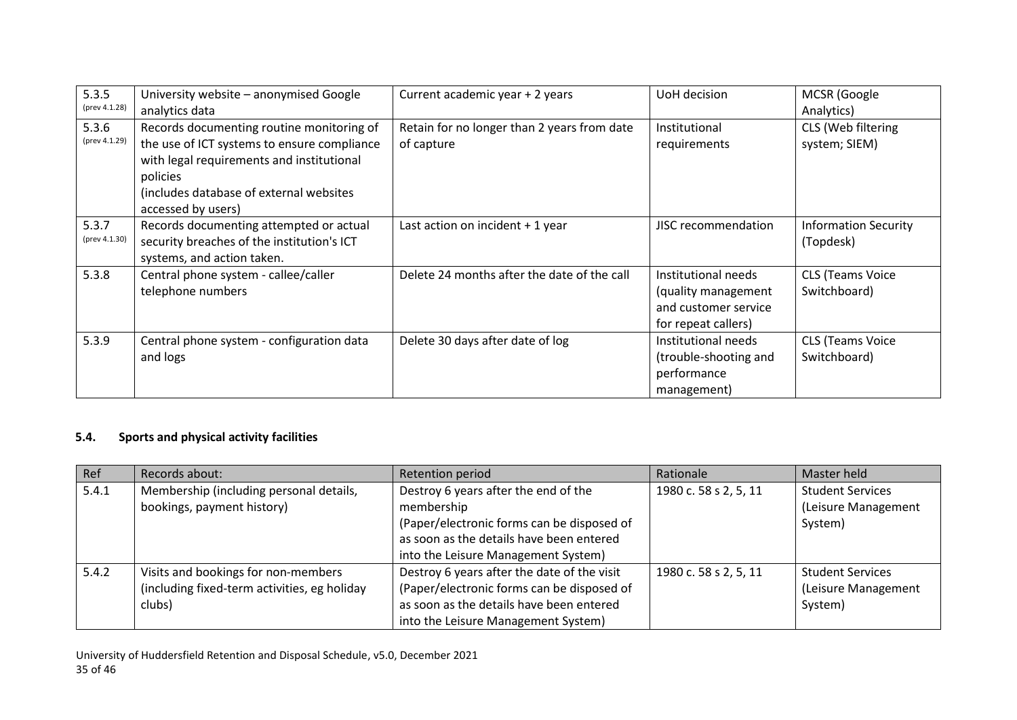| 5.3.5<br>(prev 4.1.28) | University website - anonymised Google<br>analytics data                                                                                                                                                           | Current academic year + 2 years                           | UoH decision                                                                              | MCSR (Google<br>Analytics)               |
|------------------------|--------------------------------------------------------------------------------------------------------------------------------------------------------------------------------------------------------------------|-----------------------------------------------------------|-------------------------------------------------------------------------------------------|------------------------------------------|
| 5.3.6<br>(prev 4.1.29) | Records documenting routine monitoring of<br>the use of ICT systems to ensure compliance<br>with legal requirements and institutional<br>policies<br>(includes database of external websites<br>accessed by users) | Retain for no longer than 2 years from date<br>of capture | Institutional<br>requirements                                                             | CLS (Web filtering<br>system; SIEM)      |
| 5.3.7<br>(prev 4.1.30) | Records documenting attempted or actual<br>security breaches of the institution's ICT<br>systems, and action taken.                                                                                                | Last action on incident $+1$ year                         | JISC recommendation                                                                       | <b>Information Security</b><br>(Topdesk) |
| 5.3.8                  | Central phone system - callee/caller<br>telephone numbers                                                                                                                                                          | Delete 24 months after the date of the call               | Institutional needs<br>(quality management<br>and customer service<br>for repeat callers) | <b>CLS (Teams Voice</b><br>Switchboard)  |
| 5.3.9                  | Central phone system - configuration data<br>and logs                                                                                                                                                              | Delete 30 days after date of log                          | Institutional needs<br>(trouble-shooting and<br>performance<br>management)                | <b>CLS (Teams Voice</b><br>Switchboard)  |

## **5.4. Sports and physical activity facilities**

| Ref   | Records about:                                                                                | Retention period                                                                                                                                                             | Rationale             | Master held                                               |
|-------|-----------------------------------------------------------------------------------------------|------------------------------------------------------------------------------------------------------------------------------------------------------------------------------|-----------------------|-----------------------------------------------------------|
| 5.4.1 | Membership (including personal details,<br>bookings, payment history)                         | Destroy 6 years after the end of the<br>membership                                                                                                                           | 1980 c. 58 s 2, 5, 11 | <b>Student Services</b><br>(Leisure Management            |
|       |                                                                                               | (Paper/electronic forms can be disposed of<br>as soon as the details have been entered<br>into the Leisure Management System)                                                |                       | System)                                                   |
| 5.4.2 | Visits and bookings for non-members<br>(including fixed-term activities, eg holiday<br>clubs) | Destroy 6 years after the date of the visit<br>(Paper/electronic forms can be disposed of<br>as soon as the details have been entered<br>into the Leisure Management System) | 1980 c. 58 s 2, 5, 11 | <b>Student Services</b><br>(Leisure Management<br>System) |

<span id="page-34-0"></span>University of Huddersfield Retention and Disposal Schedule, v5.0, December 2021 35 of 46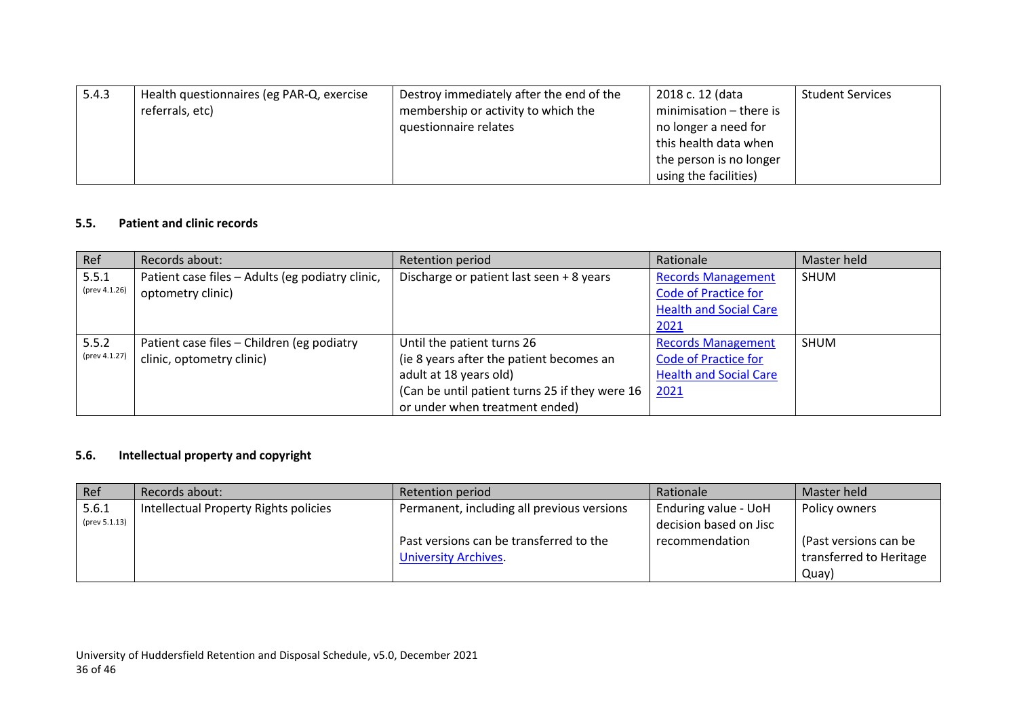| 5.4.3 | Health questionnaires (eg PAR-Q, exercise | Destroy immediately after the end of the | 2018 c. 12 (data        | <b>Student Services</b> |
|-------|-------------------------------------------|------------------------------------------|-------------------------|-------------------------|
|       | referrals, etc)                           | membership or activity to which the      | minimisation - there is |                         |
|       |                                           | questionnaire relates                    | no longer a need for    |                         |
|       |                                           |                                          | this health data when   |                         |
|       |                                           |                                          | the person is no longer |                         |
|       |                                           |                                          | using the facilities)   |                         |

## **5.5. Patient and clinic records**

| Ref           | Records about:                                   | Retention period                               | Rationale                     | Master held |
|---------------|--------------------------------------------------|------------------------------------------------|-------------------------------|-------------|
| 5.5.1         | Patient case files - Adults (eg podiatry clinic, | Discharge or patient last seen + 8 years       | <b>Records Management</b>     | <b>SHUM</b> |
| (prev 4.1.26) | optometry clinic)                                |                                                | <b>Code of Practice for</b>   |             |
|               |                                                  |                                                | <b>Health and Social Care</b> |             |
|               |                                                  |                                                | 2021                          |             |
| 5.5.2         | Patient case files - Children (eg podiatry       | Until the patient turns 26                     | <b>Records Management</b>     | <b>SHUM</b> |
| (prev 4.1.27) | clinic, optometry clinic)                        | (ie 8 years after the patient becomes an       | <b>Code of Practice for</b>   |             |
|               |                                                  | adult at 18 years old)                         | <b>Health and Social Care</b> |             |
|               |                                                  | (Can be until patient turns 25 if they were 16 | 2021                          |             |
|               |                                                  | or under when treatment ended)                 |                               |             |

## **5.6. Intellectual property and copyright**

<span id="page-35-1"></span><span id="page-35-0"></span>

| Ref           | Records about:                        | Retention period                           | Rationale              | Master held             |
|---------------|---------------------------------------|--------------------------------------------|------------------------|-------------------------|
| 5.6.1         | Intellectual Property Rights policies | Permanent, including all previous versions | Enduring value - UoH   | Policy owners           |
| (prev 5.1.13) |                                       |                                            | decision based on Jisc |                         |
|               |                                       | Past versions can be transferred to the    | recommendation         | (Past versions can be   |
|               |                                       | <b>University Archives</b>                 |                        | transferred to Heritage |
|               |                                       |                                            |                        | Quay)                   |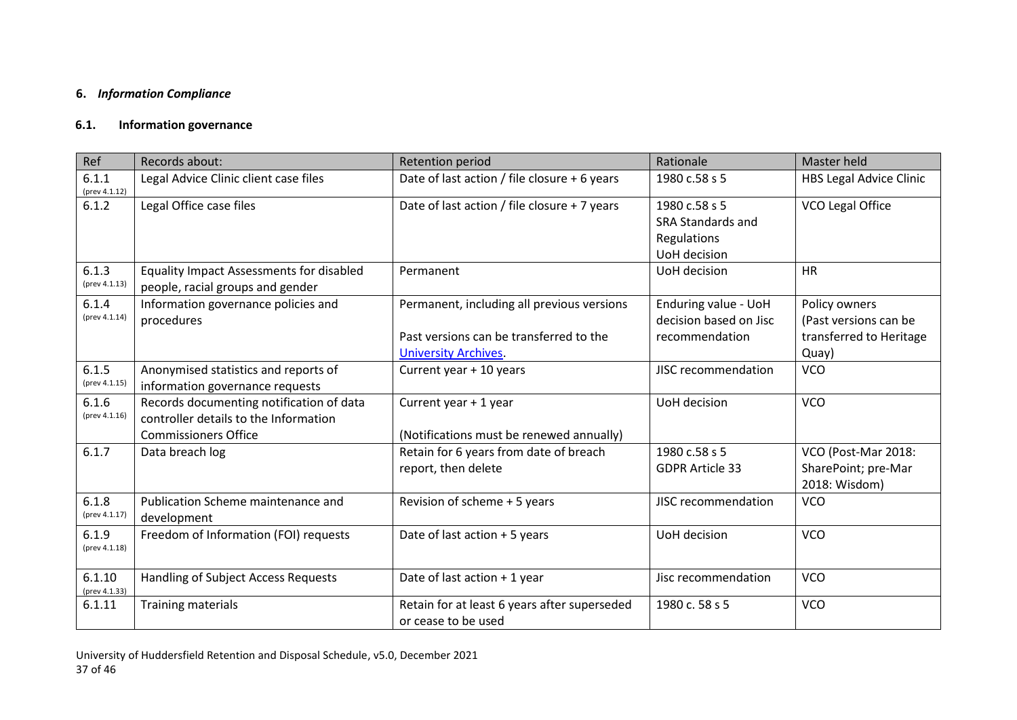## **6.** *Information Compliance*

## **6.1. Information governance**

<span id="page-36-1"></span><span id="page-36-0"></span>

| Ref                     | Records about:                                                                                                   | <b>Retention period</b>                                                                                              | Rationale                                                         | <b>Master held</b>                                                         |
|-------------------------|------------------------------------------------------------------------------------------------------------------|----------------------------------------------------------------------------------------------------------------------|-------------------------------------------------------------------|----------------------------------------------------------------------------|
| 6.1.1<br>(prev 4.1.12)  | Legal Advice Clinic client case files                                                                            | Date of last action / file closure + 6 years                                                                         | 1980 c.58 s 5                                                     | <b>HBS Legal Advice Clinic</b>                                             |
| 6.1.2                   | Legal Office case files                                                                                          | Date of last action / file closure + 7 years                                                                         | 1980 c.58 s 5<br>SRA Standards and<br>Regulations<br>UoH decision | VCO Legal Office                                                           |
| 6.1.3<br>(prev 4.1.13)  | <b>Equality Impact Assessments for disabled</b><br>people, racial groups and gender                              | Permanent                                                                                                            | UoH decision                                                      | <b>HR</b>                                                                  |
| 6.1.4<br>(prev 4.1.14)  | Information governance policies and<br>procedures                                                                | Permanent, including all previous versions<br>Past versions can be transferred to the<br><b>University Archives.</b> | Enduring value - UoH<br>decision based on Jisc<br>recommendation  | Policy owners<br>(Past versions can be<br>transferred to Heritage<br>Quay) |
| 6.1.5<br>(prev 4.1.15)  | Anonymised statistics and reports of<br>information governance requests                                          | Current year + 10 years                                                                                              | JISC recommendation                                               | <b>VCO</b>                                                                 |
| 6.1.6<br>(prev 4.1.16)  | Records documenting notification of data<br>controller details to the Information<br><b>Commissioners Office</b> | Current year + 1 year<br>(Notifications must be renewed annually)                                                    | UoH decision                                                      | <b>VCO</b>                                                                 |
| 6.1.7                   | Data breach log                                                                                                  | Retain for 6 years from date of breach<br>report, then delete                                                        | 1980 c.58 s 5<br><b>GDPR Article 33</b>                           | VCO (Post-Mar 2018:<br>SharePoint; pre-Mar<br>2018: Wisdom)                |
| 6.1.8<br>(prev 4.1.17)  | Publication Scheme maintenance and<br>development                                                                | Revision of scheme + 5 years                                                                                         | JISC recommendation                                               | <b>VCO</b>                                                                 |
| 6.1.9<br>(prev 4.1.18)  | Freedom of Information (FOI) requests                                                                            | Date of last action + 5 years                                                                                        | UoH decision                                                      | <b>VCO</b>                                                                 |
| 6.1.10<br>(prev 4.1.33) | <b>Handling of Subject Access Requests</b>                                                                       | Date of last action + 1 year                                                                                         | Jisc recommendation                                               | <b>VCO</b>                                                                 |
| 6.1.11                  | <b>Training materials</b>                                                                                        | Retain for at least 6 years after superseded<br>or cease to be used                                                  | 1980 c. 58 s 5                                                    | <b>VCO</b>                                                                 |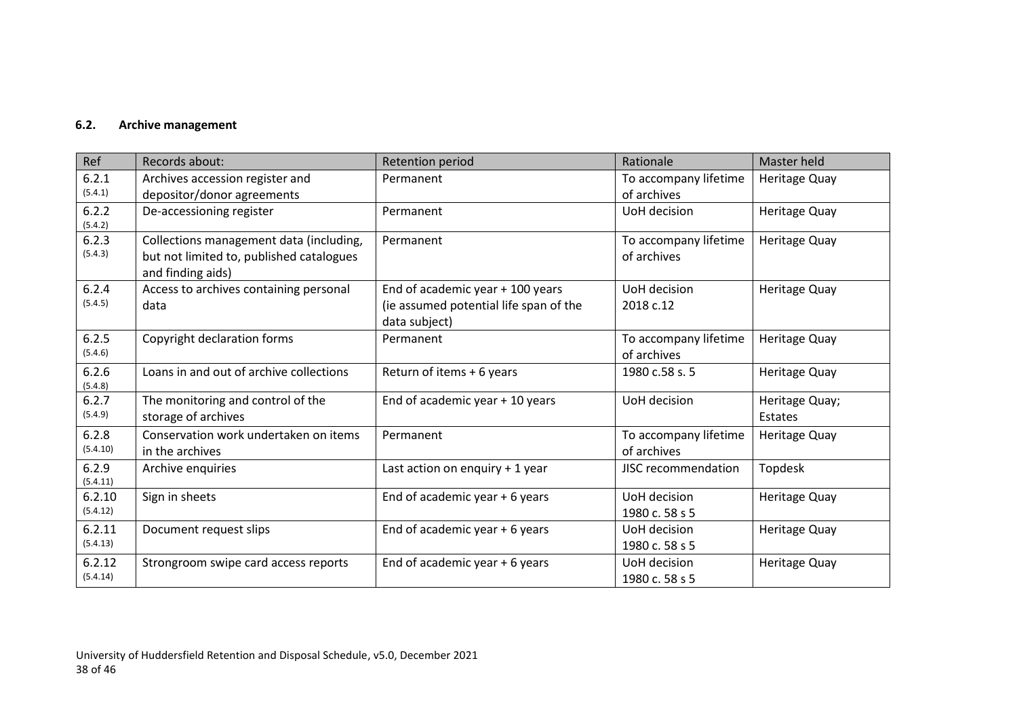## **6.2. Archive management**

<span id="page-37-0"></span>

| Ref                | Records about:                                                                                           | Retention period                                                                              | Rationale                            | Master held               |
|--------------------|----------------------------------------------------------------------------------------------------------|-----------------------------------------------------------------------------------------------|--------------------------------------|---------------------------|
| 6.2.1<br>(5.4.1)   | Archives accession register and                                                                          | Permanent                                                                                     | To accompany lifetime                | Heritage Quay             |
|                    | depositor/donor agreements                                                                               |                                                                                               | of archives                          |                           |
| 6.2.2<br>(5.4.2)   | De-accessioning register                                                                                 | Permanent                                                                                     | UoH decision                         | <b>Heritage Quay</b>      |
| 6.2.3<br>(5.4.3)   | Collections management data (including,<br>but not limited to, published catalogues<br>and finding aids) | Permanent                                                                                     | To accompany lifetime<br>of archives | Heritage Quay             |
| 6.2.4<br>(5.4.5)   | Access to archives containing personal<br>data                                                           | End of academic year $+$ 100 years<br>(ie assumed potential life span of the<br>data subject) | UoH decision<br>2018 c.12            | <b>Heritage Quay</b>      |
| 6.2.5<br>(5.4.6)   | Copyright declaration forms                                                                              | Permanent                                                                                     | To accompany lifetime<br>of archives | Heritage Quay             |
| 6.2.6<br>(5.4.8)   | Loans in and out of archive collections                                                                  | Return of items + 6 years                                                                     | 1980 c.58 s. 5                       | Heritage Quay             |
| 6.2.7<br>(5.4.9)   | The monitoring and control of the<br>storage of archives                                                 | End of academic year + 10 years                                                               | UoH decision                         | Heritage Quay;<br>Estates |
| 6.2.8<br>(5.4.10)  | Conservation work undertaken on items<br>in the archives                                                 | Permanent                                                                                     | To accompany lifetime<br>of archives | Heritage Quay             |
| 6.2.9<br>(5.4.11)  | Archive enquiries                                                                                        | Last action on enquiry + 1 year                                                               | JISC recommendation                  | Topdesk                   |
| 6.2.10<br>(5.4.12) | Sign in sheets                                                                                           | End of academic year + 6 years                                                                | UoH decision<br>1980 c. 58 s 5       | Heritage Quay             |
| 6.2.11<br>(5.4.13) | Document request slips                                                                                   | End of academic year + 6 years                                                                | UoH decision<br>1980 c. 58 s 5       | Heritage Quay             |
| 6.2.12<br>(5.4.14) | Strongroom swipe card access reports                                                                     | End of academic year + 6 years                                                                | UoH decision<br>1980 c. 58 s 5       | Heritage Quay             |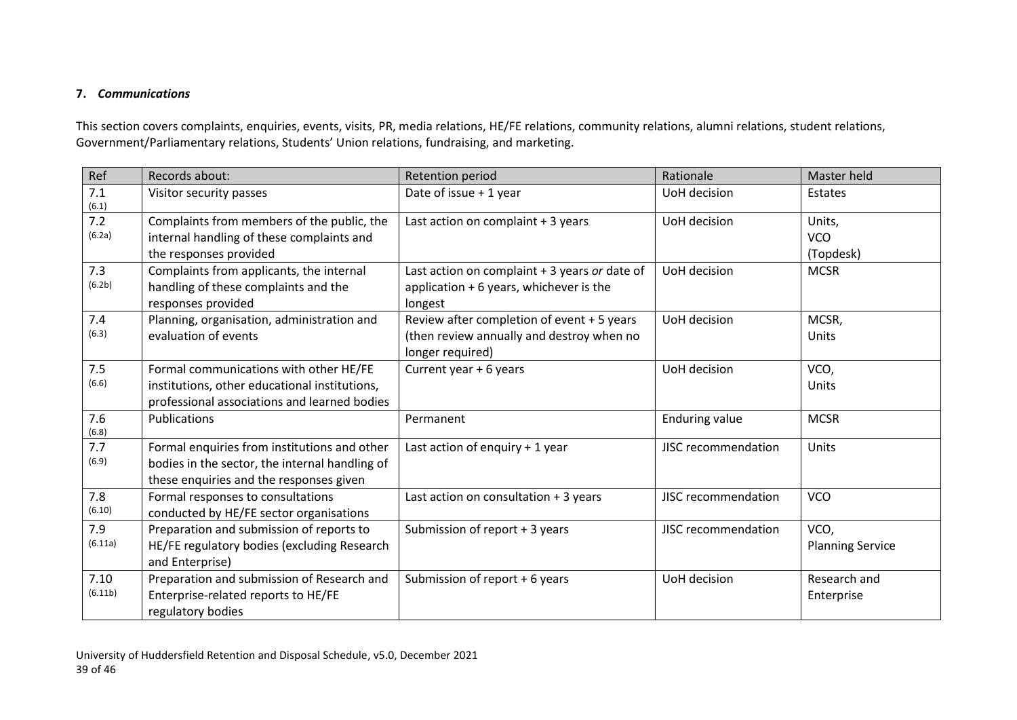## **7.** *Communications*

This section covers complaints, enquiries, events, visits, PR, media relations, HE/FE relations, community relations, alumni relations, student relations, Government/Parliamentary relations, Students' Union relations, fundraising, and marketing.

<span id="page-38-0"></span>

| Ref                        | Records about:                                                                                                                            | Retention period                                                                                            | Rationale             | Master held                       |
|----------------------------|-------------------------------------------------------------------------------------------------------------------------------------------|-------------------------------------------------------------------------------------------------------------|-----------------------|-----------------------------------|
| 7.1<br>(6.1)               | Visitor security passes                                                                                                                   | Date of issue + 1 year                                                                                      | UoH decision          | Estates                           |
| 7.2<br>(6.2a)              | Complaints from members of the public, the<br>internal handling of these complaints and<br>the responses provided                         | Last action on complaint + 3 years                                                                          | UoH decision          | Units,<br><b>VCO</b><br>(Topdesk) |
| 7.3<br>(6.2 <sub>b</sub> ) | Complaints from applicants, the internal<br>handling of these complaints and the<br>responses provided                                    | Last action on complaint + 3 years or date of<br>application $+6$ years, whichever is the<br>longest        | UoH decision          | <b>MCSR</b>                       |
| 7.4<br>(6.3)               | Planning, organisation, administration and<br>evaluation of events                                                                        | Review after completion of event + 5 years<br>(then review annually and destroy when no<br>longer required) | UoH decision          | MCSR,<br>Units                    |
| 7.5<br>(6.6)               | Formal communications with other HE/FE<br>institutions, other educational institutions,<br>professional associations and learned bodies   | Current year + 6 years                                                                                      | UoH decision          | VCO,<br>Units                     |
| 7.6<br>(6.8)               | <b>Publications</b>                                                                                                                       | Permanent                                                                                                   | <b>Enduring value</b> | <b>MCSR</b>                       |
| 7.7<br>(6.9)               | Formal enquiries from institutions and other<br>bodies in the sector, the internal handling of<br>these enquiries and the responses given | Last action of enquiry + 1 year                                                                             | JISC recommendation   | Units                             |
| 7.8<br>(6.10)              | Formal responses to consultations<br>conducted by HE/FE sector organisations                                                              | Last action on consultation $+3$ years                                                                      | JISC recommendation   | <b>VCO</b>                        |
| 7.9<br>(6.11a)             | Preparation and submission of reports to<br>HE/FE regulatory bodies (excluding Research<br>and Enterprise)                                | Submission of report + 3 years                                                                              | JISC recommendation   | VCO,<br><b>Planning Service</b>   |
| 7.10<br>(6.11b)            | Preparation and submission of Research and<br>Enterprise-related reports to HE/FE<br>regulatory bodies                                    | Submission of report + 6 years                                                                              | UoH decision          | Research and<br>Enterprise        |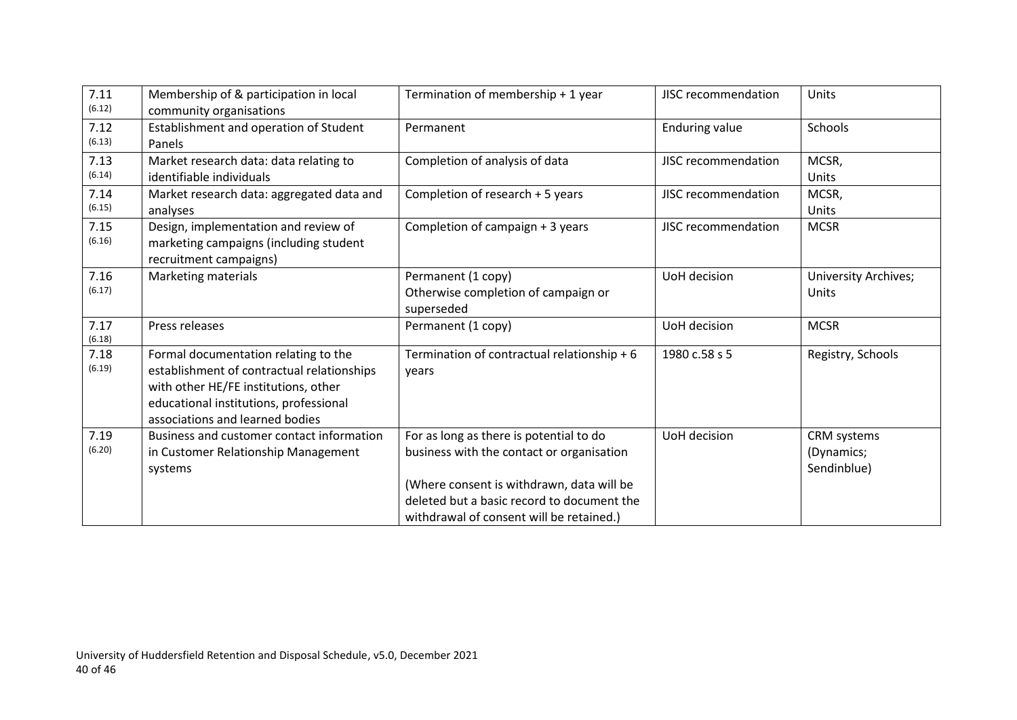| 7.11<br>(6.12) | Membership of & participation in local<br>community organisations                                                                                                                                       | Termination of membership + 1 year                                                                                                                                                                                          | JISC recommendation   | Units                                    |
|----------------|---------------------------------------------------------------------------------------------------------------------------------------------------------------------------------------------------------|-----------------------------------------------------------------------------------------------------------------------------------------------------------------------------------------------------------------------------|-----------------------|------------------------------------------|
| 7.12<br>(6.13) | Establishment and operation of Student<br>Panels                                                                                                                                                        | Permanent                                                                                                                                                                                                                   | <b>Enduring value</b> | Schools                                  |
| 7.13<br>(6.14) | Market research data: data relating to<br>identifiable individuals                                                                                                                                      | Completion of analysis of data                                                                                                                                                                                              | JISC recommendation   | MCSR,<br>Units                           |
| 7.14<br>(6.15) | Market research data: aggregated data and<br>analyses                                                                                                                                                   | Completion of research + 5 years                                                                                                                                                                                            | JISC recommendation   | MCSR,<br>Units                           |
| 7.15<br>(6.16) | Design, implementation and review of<br>marketing campaigns (including student<br>recruitment campaigns)                                                                                                | Completion of campaign + 3 years                                                                                                                                                                                            | JISC recommendation   | <b>MCSR</b>                              |
| 7.16<br>(6.17) | Marketing materials                                                                                                                                                                                     | Permanent (1 copy)<br>Otherwise completion of campaign or<br>superseded                                                                                                                                                     | UoH decision          | University Archives;<br>Units            |
| 7.17<br>(6.18) | Press releases                                                                                                                                                                                          | Permanent (1 copy)                                                                                                                                                                                                          | UoH decision          | <b>MCSR</b>                              |
| 7.18<br>(6.19) | Formal documentation relating to the<br>establishment of contractual relationships<br>with other HE/FE institutions, other<br>educational institutions, professional<br>associations and learned bodies | Termination of contractual relationship + 6<br>years                                                                                                                                                                        | 1980 c.58 s 5         | Registry, Schools                        |
| 7.19<br>(6.20) | Business and customer contact information<br>in Customer Relationship Management<br>systems                                                                                                             | For as long as there is potential to do<br>business with the contact or organisation<br>(Where consent is withdrawn, data will be<br>deleted but a basic record to document the<br>withdrawal of consent will be retained.) | UoH decision          | CRM systems<br>(Dynamics;<br>Sendinblue) |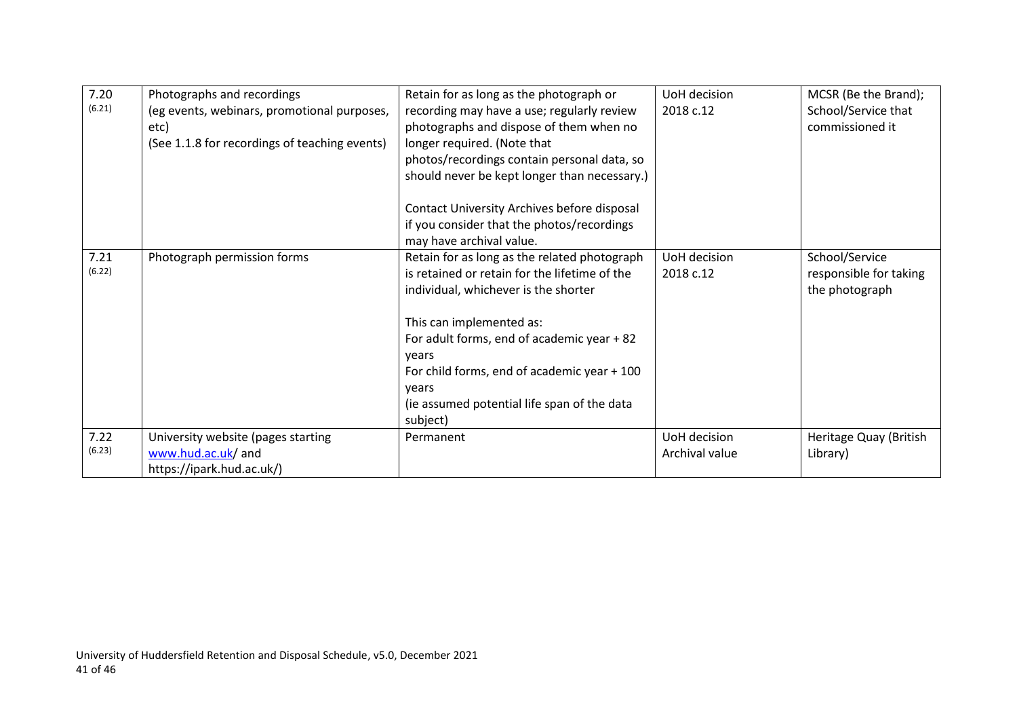| 7.20   | Photographs and recordings                    | Retain for as long as the photograph or       | UoH decision   | MCSR (Be the Brand);   |
|--------|-----------------------------------------------|-----------------------------------------------|----------------|------------------------|
| (6.21) | (eg events, webinars, promotional purposes,   | recording may have a use; regularly review    | 2018 c.12      | School/Service that    |
|        | etc)                                          | photographs and dispose of them when no       |                | commissioned it        |
|        | (See 1.1.8 for recordings of teaching events) | longer required. (Note that                   |                |                        |
|        |                                               | photos/recordings contain personal data, so   |                |                        |
|        |                                               | should never be kept longer than necessary.)  |                |                        |
|        |                                               | Contact University Archives before disposal   |                |                        |
|        |                                               | if you consider that the photos/recordings    |                |                        |
|        |                                               | may have archival value.                      |                |                        |
| 7.21   | Photograph permission forms                   | Retain for as long as the related photograph  | UoH decision   | School/Service         |
| (6.22) |                                               | is retained or retain for the lifetime of the | 2018 c.12      | responsible for taking |
|        |                                               | individual, whichever is the shorter          |                | the photograph         |
|        |                                               | This can implemented as:                      |                |                        |
|        |                                               | For adult forms, end of academic year + 82    |                |                        |
|        |                                               | years                                         |                |                        |
|        |                                               | For child forms, end of academic year + 100   |                |                        |
|        |                                               | vears                                         |                |                        |
|        |                                               | (ie assumed potential life span of the data   |                |                        |
|        |                                               | subject)                                      |                |                        |
| 7.22   | University website (pages starting            | Permanent                                     | UoH decision   | Heritage Quay (British |
| (6.23) | www.hud.ac.uk/ and                            |                                               | Archival value | Library)               |
|        | https://ipark.hud.ac.uk/)                     |                                               |                |                        |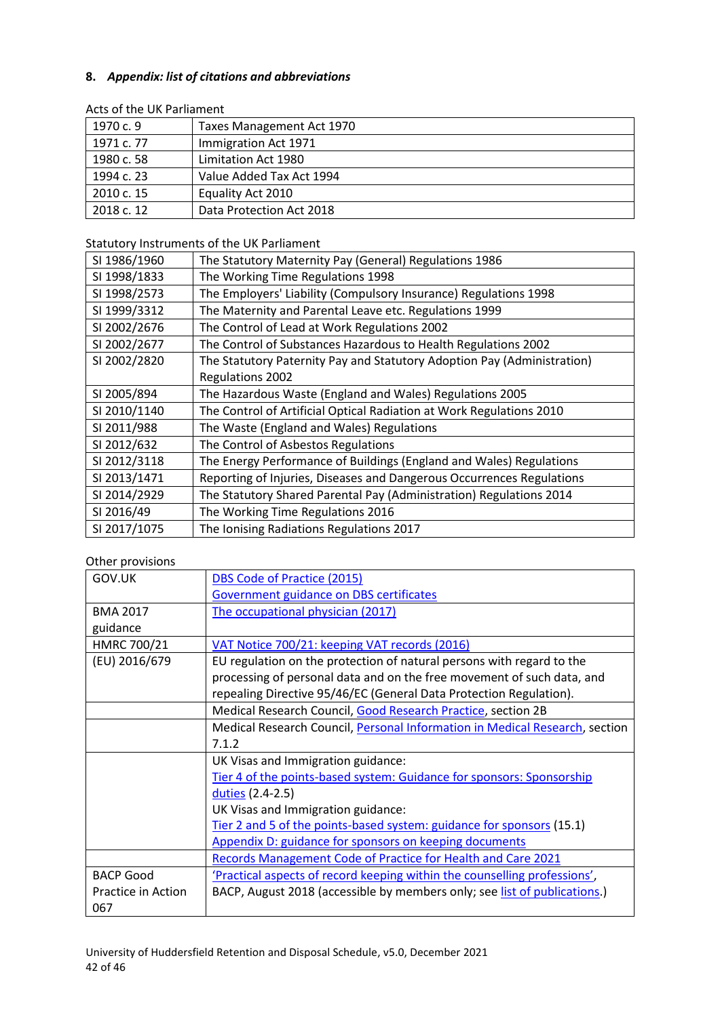#### <span id="page-41-0"></span>**8.** *Appendix: list of citations and abbreviations*

| 1970 c. 9  | Taxes Management Act 1970 |  |  |
|------------|---------------------------|--|--|
| 1971 c. 77 | Immigration Act 1971      |  |  |
| 1980 c. 58 | Limitation Act 1980       |  |  |
| 1994 c. 23 | Value Added Tax Act 1994  |  |  |
| 2010 c. 15 | Equality Act 2010         |  |  |
| 2018 c. 12 | Data Protection Act 2018  |  |  |

#### Acts of the UK Parliament

Statutory Instruments of the UK Parliament

| SI 1986/1960 | The Statutory Maternity Pay (General) Regulations 1986                  |
|--------------|-------------------------------------------------------------------------|
| SI 1998/1833 | The Working Time Regulations 1998                                       |
| SI 1998/2573 | The Employers' Liability (Compulsory Insurance) Regulations 1998        |
| SI 1999/3312 | The Maternity and Parental Leave etc. Regulations 1999                  |
| SI 2002/2676 | The Control of Lead at Work Regulations 2002                            |
| SI 2002/2677 | The Control of Substances Hazardous to Health Regulations 2002          |
| SI 2002/2820 | The Statutory Paternity Pay and Statutory Adoption Pay (Administration) |
|              | <b>Regulations 2002</b>                                                 |
| SI 2005/894  | The Hazardous Waste (England and Wales) Regulations 2005                |
| SI 2010/1140 | The Control of Artificial Optical Radiation at Work Regulations 2010    |
| SI 2011/988  | The Waste (England and Wales) Regulations                               |
| SI 2012/632  | The Control of Asbestos Regulations                                     |
| SI 2012/3118 | The Energy Performance of Buildings (England and Wales) Regulations     |
| SI 2013/1471 | Reporting of Injuries, Diseases and Dangerous Occurrences Regulations   |
| SI 2014/2929 | The Statutory Shared Parental Pay (Administration) Regulations 2014     |
| SI 2016/49   | The Working Time Regulations 2016                                       |
| SI 2017/1075 | The Ionising Radiations Regulations 2017                                |

## Other provisions

| GOV.UK                    | DBS Code of Practice (2015)                                                 |
|---------------------------|-----------------------------------------------------------------------------|
|                           | Government guidance on DBS certificates                                     |
| <b>BMA 2017</b>           | The occupational physician (2017)                                           |
| guidance                  |                                                                             |
| HMRC 700/21               | VAT Notice 700/21: keeping VAT records (2016)                               |
| (EU) 2016/679             | EU regulation on the protection of natural persons with regard to the       |
|                           | processing of personal data and on the free movement of such data, and      |
|                           | repealing Directive 95/46/EC (General Data Protection Regulation).          |
|                           | Medical Research Council, Good Research Practice, section 2B                |
|                           | Medical Research Council, Personal Information in Medical Research, section |
|                           | 7.1.2                                                                       |
|                           | UK Visas and Immigration guidance:                                          |
|                           | Tier 4 of the points-based system: Guidance for sponsors: Sponsorship       |
|                           | duties (2.4-2.5)                                                            |
|                           | UK Visas and Immigration guidance:                                          |
|                           | Tier 2 and 5 of the points-based system: guidance for sponsors (15.1)       |
|                           | Appendix D: guidance for sponsors on keeping documents                      |
|                           | Records Management Code of Practice for Health and Care 2021                |
| <b>BACP Good</b>          | 'Practical aspects of record keeping within the counselling professions',   |
| Practice in Action<br>067 | BACP, August 2018 (accessible by members only; see list of publications.)   |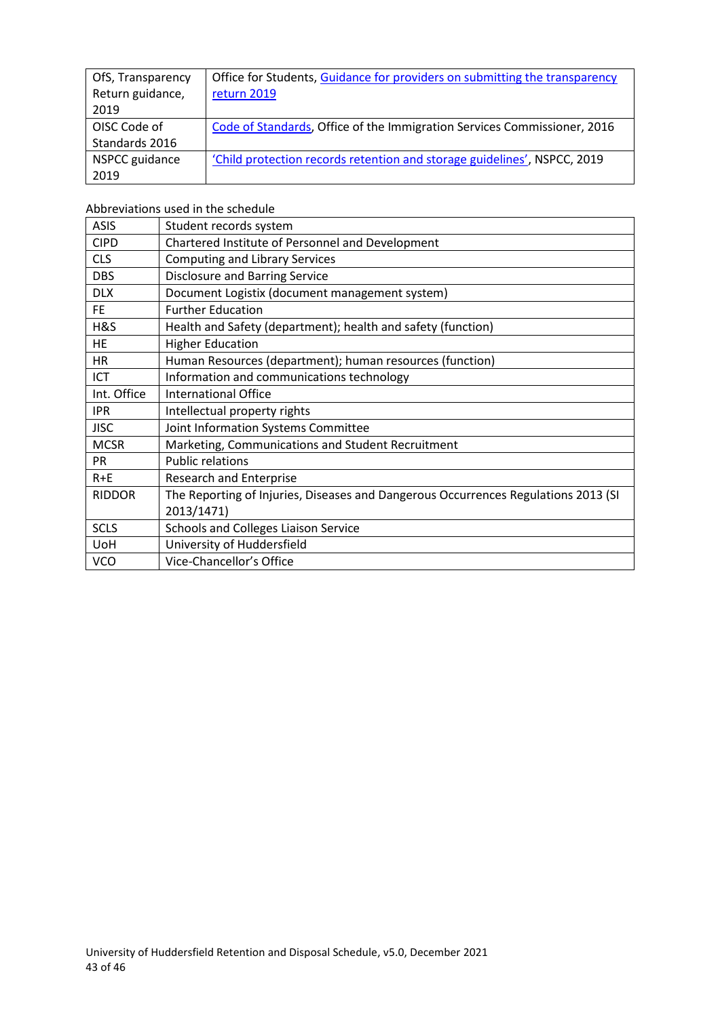| OfS, Transparency | Office for Students, Guidance for providers on submitting the transparency |
|-------------------|----------------------------------------------------------------------------|
| Return guidance,  | return 2019                                                                |
| 2019              |                                                                            |
| OISC Code of      | Code of Standards, Office of the Immigration Services Commissioner, 2016   |
| Standards 2016    |                                                                            |
| NSPCC guidance    | 'Child protection records retention and storage guidelines', NSPCC, 2019   |
| 2019              |                                                                            |

Abbreviations used in the schedule

| <b>ASIS</b>   | Student records system                                                                           |
|---------------|--------------------------------------------------------------------------------------------------|
| <b>CIPD</b>   | Chartered Institute of Personnel and Development                                                 |
| <b>CLS</b>    | <b>Computing and Library Services</b>                                                            |
| <b>DBS</b>    | <b>Disclosure and Barring Service</b>                                                            |
| <b>DLX</b>    | Document Logistix (document management system)                                                   |
| <b>FE</b>     | <b>Further Education</b>                                                                         |
| H&S           | Health and Safety (department); health and safety (function)                                     |
| <b>HE</b>     | <b>Higher Education</b>                                                                          |
| HR            | Human Resources (department); human resources (function)                                         |
| ICT           | Information and communications technology                                                        |
| Int. Office   | <b>International Office</b>                                                                      |
| <b>IPR</b>    | Intellectual property rights                                                                     |
| <b>JISC</b>   | Joint Information Systems Committee                                                              |
| <b>MCSR</b>   | Marketing, Communications and Student Recruitment                                                |
| <b>PR</b>     | <b>Public relations</b>                                                                          |
| $R + E$       | <b>Research and Enterprise</b>                                                                   |
| <b>RIDDOR</b> | The Reporting of Injuries, Diseases and Dangerous Occurrences Regulations 2013 (SI<br>2013/1471) |
| <b>SCLS</b>   | <b>Schools and Colleges Liaison Service</b>                                                      |
| <b>UoH</b>    | University of Huddersfield                                                                       |
| <b>VCO</b>    | Vice-Chancellor's Office                                                                         |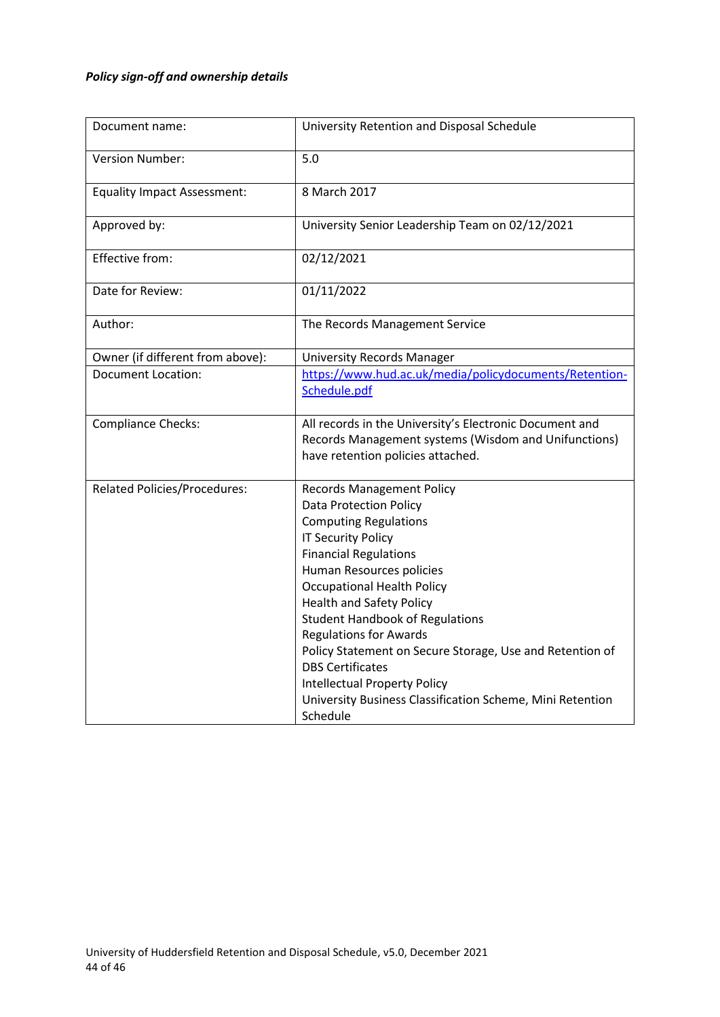## <span id="page-43-0"></span>*Policy sign-off and ownership details*

| Document name:                      | University Retention and Disposal Schedule                           |  |  |
|-------------------------------------|----------------------------------------------------------------------|--|--|
| Version Number:                     | 5.0                                                                  |  |  |
| <b>Equality Impact Assessment:</b>  | 8 March 2017                                                         |  |  |
| Approved by:                        | University Senior Leadership Team on 02/12/2021                      |  |  |
| Effective from:                     | 02/12/2021                                                           |  |  |
| Date for Review:                    | 01/11/2022                                                           |  |  |
| Author:                             | The Records Management Service                                       |  |  |
| Owner (if different from above):    | <b>University Records Manager</b>                                    |  |  |
| <b>Document Location:</b>           | https://www.hud.ac.uk/media/policydocuments/Retention-               |  |  |
|                                     | Schedule.pdf                                                         |  |  |
| <b>Compliance Checks:</b>           | All records in the University's Electronic Document and              |  |  |
|                                     | Records Management systems (Wisdom and Unifunctions)                 |  |  |
|                                     | have retention policies attached.                                    |  |  |
| <b>Related Policies/Procedures:</b> | <b>Records Management Policy</b>                                     |  |  |
|                                     | <b>Data Protection Policy</b>                                        |  |  |
|                                     | <b>Computing Regulations</b>                                         |  |  |
|                                     | <b>IT Security Policy</b>                                            |  |  |
|                                     | <b>Financial Regulations</b>                                         |  |  |
|                                     | Human Resources policies                                             |  |  |
|                                     | <b>Occupational Health Policy</b><br><b>Health and Safety Policy</b> |  |  |
|                                     | <b>Student Handbook of Regulations</b>                               |  |  |
|                                     | <b>Regulations for Awards</b>                                        |  |  |
|                                     | Policy Statement on Secure Storage, Use and Retention of             |  |  |
|                                     | <b>DBS Certificates</b>                                              |  |  |
|                                     | <b>Intellectual Property Policy</b>                                  |  |  |
|                                     | University Business Classification Scheme, Mini Retention            |  |  |
|                                     | Schedule                                                             |  |  |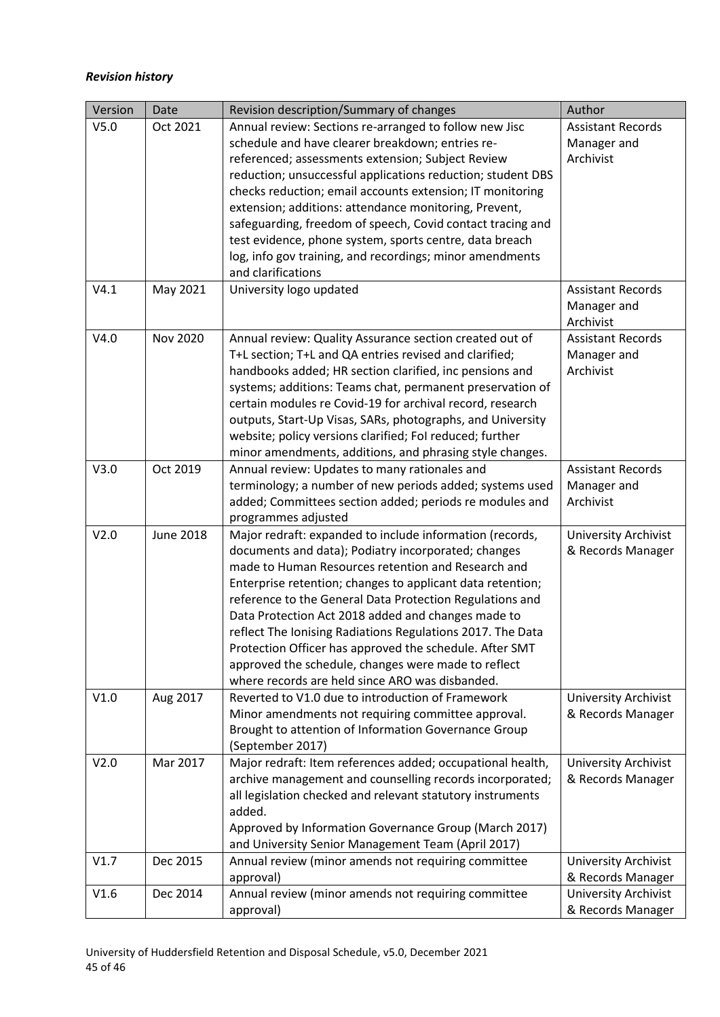#### <span id="page-44-0"></span>*Revision history*

| Version          | Date             | Revision description/Summary of changes                         | Author                      |
|------------------|------------------|-----------------------------------------------------------------|-----------------------------|
| V <sub>5.0</sub> | Oct 2021         | Annual review: Sections re-arranged to follow new Jisc          | <b>Assistant Records</b>    |
|                  |                  | schedule and have clearer breakdown; entries re-                | Manager and                 |
|                  |                  | referenced; assessments extension; Subject Review               | Archivist                   |
|                  |                  | reduction; unsuccessful applications reduction; student DBS     |                             |
|                  |                  | checks reduction; email accounts extension; IT monitoring       |                             |
|                  |                  | extension; additions: attendance monitoring, Prevent,           |                             |
|                  |                  | safeguarding, freedom of speech, Covid contact tracing and      |                             |
|                  |                  | test evidence, phone system, sports centre, data breach         |                             |
|                  |                  | log, info gov training, and recordings; minor amendments        |                             |
|                  |                  | and clarifications                                              |                             |
| V4.1             | May 2021         | University logo updated                                         | <b>Assistant Records</b>    |
|                  |                  |                                                                 | Manager and                 |
|                  |                  |                                                                 | Archivist                   |
| V4.0             | <b>Nov 2020</b>  | Annual review: Quality Assurance section created out of         | <b>Assistant Records</b>    |
|                  |                  | T+L section; T+L and QA entries revised and clarified;          | Manager and                 |
|                  |                  | handbooks added; HR section clarified, inc pensions and         | Archivist                   |
|                  |                  | systems; additions: Teams chat, permanent preservation of       |                             |
|                  |                  | certain modules re Covid-19 for archival record, research       |                             |
|                  |                  | outputs, Start-Up Visas, SARs, photographs, and University      |                             |
|                  |                  | website; policy versions clarified; Fol reduced; further        |                             |
|                  |                  | minor amendments, additions, and phrasing style changes.        |                             |
| V3.0             | Oct 2019         | Annual review: Updates to many rationales and                   | <b>Assistant Records</b>    |
|                  |                  | terminology; a number of new periods added; systems used        | Manager and                 |
|                  |                  | added; Committees section added; periods re modules and         | Archivist                   |
|                  |                  | programmes adjusted                                             |                             |
| V2.0             | <b>June 2018</b> | Major redraft: expanded to include information (records,        | University Archivist        |
|                  |                  | documents and data); Podiatry incorporated; changes             | & Records Manager           |
|                  |                  | made to Human Resources retention and Research and              |                             |
|                  |                  | Enterprise retention; changes to applicant data retention;      |                             |
|                  |                  | reference to the General Data Protection Regulations and        |                             |
|                  |                  | Data Protection Act 2018 added and changes made to              |                             |
|                  |                  | reflect The Ionising Radiations Regulations 2017. The Data      |                             |
|                  |                  | Protection Officer has approved the schedule. After SMT         |                             |
|                  |                  | approved the schedule, changes were made to reflect             |                             |
|                  |                  | where records are held since ARO was disbanded.                 |                             |
| V1.0             | Aug 2017         | Reverted to V1.0 due to introduction of Framework               | University Archivist        |
|                  |                  | Minor amendments not requiring committee approval.              | & Records Manager           |
|                  |                  | Brought to attention of Information Governance Group            |                             |
|                  | Mar 2017         | (September 2017)                                                |                             |
| V2.0             |                  | Major redraft: Item references added; occupational health,      | University Archivist        |
|                  |                  | archive management and counselling records incorporated;        | & Records Manager           |
|                  |                  | all legislation checked and relevant statutory instruments      |                             |
|                  |                  | added.<br>Approved by Information Governance Group (March 2017) |                             |
|                  |                  | and University Senior Management Team (April 2017)              |                             |
| V1.7             | Dec 2015         | Annual review (minor amends not requiring committee             | <b>University Archivist</b> |
|                  |                  | approval)                                                       | & Records Manager           |
| V1.6             | Dec 2014         | Annual review (minor amends not requiring committee             | University Archivist        |
|                  |                  | approval)                                                       | & Records Manager           |
|                  |                  |                                                                 |                             |